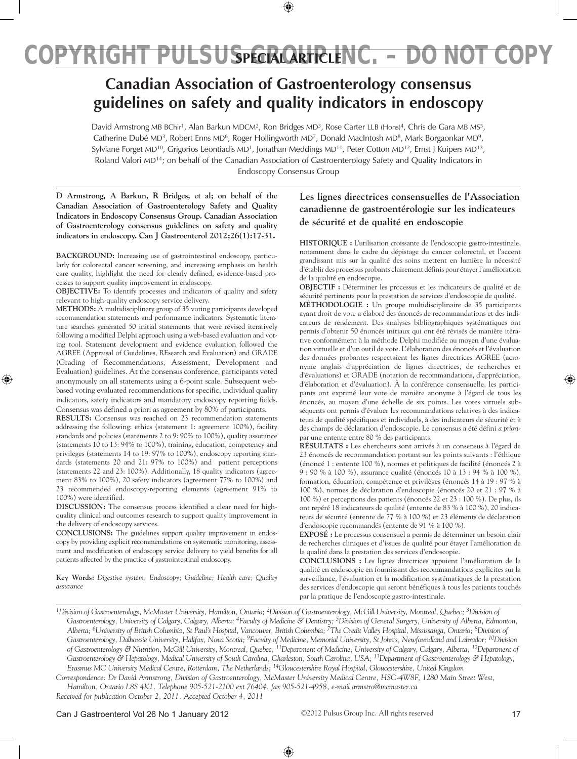# **Canadian Association of Gastroenterology consensus guidelines on safety and quality indicators in endoscopy**

David Armstrong MB BChir<sup>1</sup>, Alan Barkun MDCM<sup>2</sup>, Ron Bridges MD<sup>3</sup>, Rose Carter LLB (Hons)<sup>4</sup>, Chris de Gara MB MS<sup>5</sup>, Catherine Dubé MD<sup>3</sup>, Robert Enns MD<sup>6</sup>, Roger Hollingworth MD<sup>7</sup>, Donald MacIntosh MD<sup>8</sup>, Mark Borgaonkar MD<sup>9</sup>, Sylviane Forget MD<sup>10</sup>, Grigorios Leontiadis MD<sup>1</sup>, Jonathan Meddings MD<sup>11</sup>, Peter Cotton MD<sup>12</sup>, Ernst J Kuipers MD<sup>13</sup>, Roland Valori MD14; on behalf of the Canadian Association of Gastroenterology Safety and Quality Indicators in Endoscopy Consensus Group

**D Armstrong, A Barkun, R Bridges, et al; on behalf of the Canadian Association of Gastroenterology Safety and Quality Indicators in Endoscopy Consensus Group. Canadian Association of Gastroenterology consensus guidelines on safety and quality indicators in endoscopy. Can J Gastroenterol 2012;26(1):17-31.**

**BACKGROUND:** Increasing use of gastrointestinal endoscopy, particularly for colorectal cancer screening, and increasing emphasis on health care quality, highlight the need for clearly defined, evidence-based processes to support quality improvement in endoscopy.

**OBJECTIVE:** To identify processes and indicators of quality and safety relevant to high-quality endoscopy service delivery.

**METHODS:** A multidisciplinary group of 35 voting participants developed recommendation statements and performance indicators. Systematic literature searches generated 50 initial statements that were revised iteratively following a modified Delphi approach using a web-based evaluation and voting tool. Statement development and evidence evaluation followed the AGREE (Appraisal of Guidelines, REsearch and Evaluation) and GRADE (Grading of Recommendations, Assessment, Development and Evaluation) guidelines. At the consensus conference, participants voted anonymously on all statements using a 6-point scale. Subsequent webbased voting evaluated recommendations for specific, individual quality indicators, safety indicators and mandatory endoscopy reporting fields. Consensus was defined a priori as agreement by 80% of participants.

**Results:** Consensus was reached on 23 recommendation statements addressing the following: ethics (statement 1: agreement 100%), facility standards and policies (statements 2 to 9: 90% to 100%), quality assurance (statements 10 to 13: 94% to 100%), training, education, competency and privileges (statements 14 to 19: 97% to 100%), endoscopy reporting standards (statements 20 and 21: 97% to 100%) and patient perceptions (statements 22 and 23: 100%). Additionally, 18 quality indicators (agreement 83% to 100%), 20 safety indicators (agreement 77% to 100%) and 23 recommended endoscopy-reporting elements (agreement 91% to 100%) were identified.

**Discussion:** The consensus process identified a clear need for highquality clinical and outcomes research to support quality improvement in the delivery of endoscopy services.

**Conclusions:** The guidelines support quality improvement in endoscopy by providing explicit recommendations on systematic monitoring, assessment and modification of endoscopy service delivery to yield benefits for all patients affected by the practice of gastrointestinal endoscopy.

**Key Words:** *Digestive system; Endoscopy; Guideline; Health care; Quality assurance* 

# **Les lignes directrices consensuelles de l'Association canadienne de gastroentérologie sur les indicateurs de sécurité et de qualité en endoscopie**

**HISTORIQUE :** L'utilisation croissante de l'endoscopie gastro-intestinale, notamment dans le cadre du dépistage du cancer colorectal, et l'accent grandissant mis sur la qualité des soins mettent en lumière la nécessité d'établir des processus probants clairement définis pour étayer l'amélioration de la qualité en endoscopie.

**OBJECTIF :** Déterminer les processus et les indicateurs de qualité et de sécurité pertinents pour la prestation de services d'endoscopie de qualité.

**MÉTHODOLOGIE :** Un groupe multidisciplinaire de 35 participants ayant droit de vote a élaboré des énoncés de recommandations et des indicateurs de rendement. Des analyses bibliographiques systématiques ont permis d'obtenir 50 énoncés initiaux qui ont été révisés de manière itérative conformément à la méthode Delphi modifiée au moyen d'une évaluation virtuelle et d'un outil de vote. L'élaboration des énoncés et l'évaluation des données probantes respectaient les lignes directrices AGREE (acronyme anglais d'appréciation de lignes directrices, de recherches et d'évaluations) et GRADE (notation de recommandations, d'appréciation, d'élaboration et d'évaluation). À la conférence consensuelle, les participants ont exprimé leur vote de manière anonyme à l'égard de tous les énoncés, au moyen d'une échelle de six points. Les votes virtuels subséquents ont permis d'évaluer les recommandations relatives à des indicateurs de qualité spécifiques et individuels, à des indicateurs de sécurité et à des champs de déclaration d'endoscopie. Le consensus a été défini *a priori*par une entente entre 80 % des participants.

**RÉSULTATS :** Les chercheurs sont arrivés à un consensus à l'égard de 23 énoncés de recommandation portant sur les points suivants : l'éthique (énoncé 1 : entente 100 %), normes et politiques de facilité (énoncés 2 à 9 : 90 % à 100 %), assurance qualité (énoncés 10 à 13 : 94 % à 100 %), formation, éducation, compétence et privilèges (énoncés 14 à 19 : 97 % à 100 %), normes de déclaration d'endoscopie (énoncés 20 et 21 : 97 % à 100 %) et perceptions des patients (énoncés 22 et 23 : 100 %). De plus, ils ont repéré 18 indicateurs de qualité (entente de 83 % à 100 %), 20 indicateurs de sécurité (entente de 77 % à 100 %) et 23 éléments de déclaration d'endoscopie recommandés (entente de 91 % à 100 %).

**EXPOSÉ :** Le processus consensuel a permis de déterminer un besoin clair de recherches cliniques et d'issues de qualité pour étayer l'amélioration de la qualité dans la prestation des services d'endoscopie.

**CONCLUSIONS :** Les lignes directrices appuient l'amélioration de la qualité en endoscopie en fournissant des recommandations explicites sur la surveillance, l'évaluation et la modification systématiques de la prestation des services d'endoscopie qui seront bénéfiques à tous les patients touchés par la pratique de l'endoscopie gastro-intestinale.

*<sup>1</sup>Division of Gastroenterology, McMaster University, Hamilton, Ontario; <sup>2</sup>Division of Gastroenterology, McGill University, Montreal, Quebec; <sup>3</sup>Division of* Gastroenterology, University of Calgary, Calgary, Alberta; <sup>4</sup>Faculty of Medicine & Dentistry; <sup>5</sup>Division of General Surgery, University of Alberta, Edmonton, *Alberta; 6University of British Columbia, St Paul's Hospital, Vancouver, British Columbia; 7The Credit Valley Hospital, Mississauga, Ontario; 8Division of*  Gastroenterology, Dalhousie University, Halifax, Nova Scotia; <sup>9</sup>Faculty of Medicine, Memorial University, St John's, Newfoundland and Labrador; <sup>10</sup>Division *of Gastroenterology & Nutrition, McGill University, Montreal, Quebec; 11Department of Medicine, University of Calgary, Calgary, Alberta; 12Department of*  Gastroenterology & Hepatology, Medical University of South Carolina, Charleston, South Carolina, USA; <sup>13</sup>Department of Gastroenterology & Hepatology, *Erasmus MC University Medical Centre, Rotterdam, The Netherlands; 14Gloucestershire Royal Hospital, Gloucestershire, United Kingdom*

*Correspondence: Dr David Armstrong, Division of Gastroenterology, McMaster University Medical Centre, HSC-4W8F, 1280 Main Street West, Hamilton, Ontario L8S 4K1. Telephone 905-521-2100 ext 76404, fax 905-521-4958, e-mail armstro@mcmaster.ca Received for publication October 2, 2011. Accepted October 4, 2011*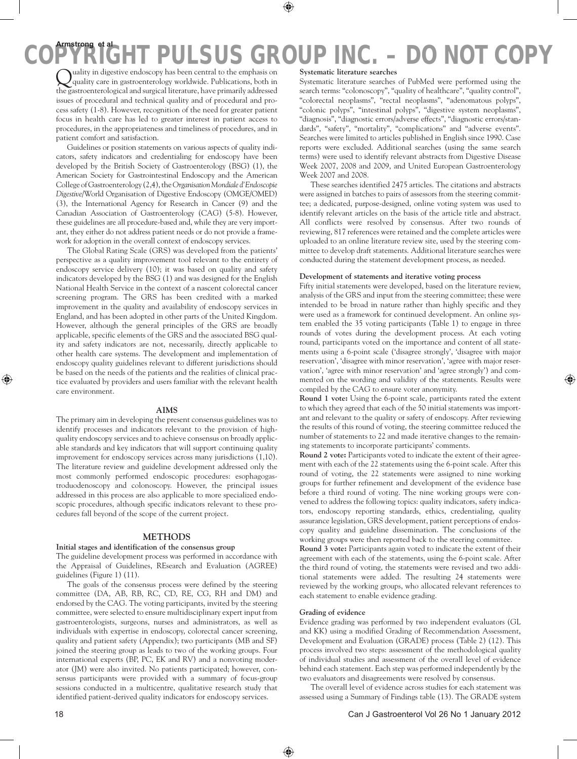Quality in digestive endoscopy has been central to the emphasis on quality care in gastroenterology worldwide. Publications, both in the gastroenterological and surgical literature, have primarily addressed issues of procedural and technical quality and of procedural and process safety (1-8). However, recognition of the need for greater patient focus in health care has led to greater interest in patient access to procedures, in the appropriateness and timeliness of procedures, and in patient comfort and satisfaction.

Guidelines or position statements on various aspects of quality indicators, safety indicators and credentialing for endoscopy have been developed by the British Society of Gastroenterology (BSG) (1), the American Society for Gastrointestinal Endoscopy and the American College of Gastroenterology (2,4), the *Organisation Mondiale d'Endoscopie Digestive*/World Organisation of Digestive Endoscopy (OMGE/OMED) (3), the International Agency for Research in Cancer (9) and the Canadian Association of Gastroenterology (CAG) (5-8). However, these guidelines are all procedure-based and, while they are very important, they either do not address patient needs or do not provide a framework for adoption in the overall context of endoscopy services.

The Global Rating Scale (GRS) was developed from the patients' perspective as a quality improvement tool relevant to the entirety of endoscopy service delivery (10); it was based on quality and safety indicators developed by the BSG (1) and was designed for the English National Health Service in the context of a nascent colorectal cancer screening program. The GRS has been credited with a marked improvement in the quality and availability of endoscopy services in England, and has been adopted in other parts of the United Kingdom. However, although the general principles of the GRS are broadly applicable, specific elements of the GRS and the associated BSG quality and safety indicators are not, necessarily, directly applicable to other health care systems. The development and implementation of endoscopy quality guidelines relevant to different jurisdictions should be based on the needs of the patients and the realities of clinical practice evaluated by providers and users familiar with the relevant health care environment.

# **Aims**

The primary aim in developing the present consensus guidelines was to identify processes and indicators relevant to the provision of highquality endoscopy services and to achieve consensus on broadly applicable standards and key indicators that will support continuing quality improvement for endoscopy services across many jurisdictions (1,10). The literature review and guideline development addressed only the most commonly performed endoscopic procedures: esophagogastroduodenoscopy and colonoscopy. However, the principal issues addressed in this process are also applicable to more specialized endoscopic procedures, although specific indicators relevant to these procedures fall beyond of the scope of the current project.

### **Methods**

# **Initial stages and identification of the consensus group**

The guideline development process was performed in accordance with the Appraisal of Guidelines, REsearch and Evaluation (AGREE) guidelines (Figure 1) (11).

The goals of the consensus process were defined by the steering committee (DA, AB, RB, RC, CD, RE, CG, RH and DM) and endorsed by the CAG. The voting participants, invited by the steering committee, were selected to ensure multidisciplinary expert input from gastroenterologists, surgeons, nurses and administrators, as well as individuals with expertise in endoscopy, colorectal cancer screening, quality and patient safety (Appendix); two participants (MB and SF) joined the steering group as leads to two of the working groups. Four international experts (BP, PC, EK and RV) and a nonvoting moderator (JM) were also invited. No patients participated; however, consensus participants were provided with a summary of focus-group sessions conducted in a multicentre, qualitative research study that identified patient-derived quality indicators for endoscopy services.

### **Systematic literature searches**

Systematic literature searches of PubMed were performed using the search terms: "colonoscopy", "quality of healthcare", "quality control", "colorectal neoplasms", "rectal neoplasms", "adenomatous polyps", "colonic polyps", "intestinal polyps", "digestive system neoplasms", "diagnosis", "diagnostic errors/adverse effects", "diagnostic errors/standards", "safety", "mortality", "complications" and "adverse events". Searches were limited to articles published in English since 1990. Case reports were excluded. Additional searches (using the same search terms) were used to identify relevant abstracts from Digestive Disease Week 2007, 2008 and 2009, and United European Gastroenterology Week 2007 and 2008.

These searches identified 2475 articles. The citations and abstracts were assigned in batches to pairs of assessors from the steering committee; a dedicated, purpose-designed, online voting system was used to identify relevant articles on the basis of the article title and abstract. All conflicts were resolved by consensus. After two rounds of reviewing, 817 references were retained and the complete articles were uploaded to an online literature review site, used by the steering committee to develop draft statements. Additional literature searches were conducted during the statement development process, as needed.

# **Development of statements and iterative voting process**

Fifty initial statements were developed, based on the literature review, analysis of the GRS and input from the steering committee; these were intended to be broad in nature rather than highly specific and they were used as a framework for continued development. An online system enabled the 35 voting participants (Table 1) to engage in three rounds of votes during the development process. At each voting round, participants voted on the importance and content of all statements using a 6-point scale ('disagree strongly', 'disagree with major reservation', 'disagree with minor reservation', 'agree with major reservation', 'agree with minor reservation' and 'agree strongly') and commented on the wording and validity of the statements. Results were compiled by the CAG to ensure voter anonymity.

**Round 1 vote:** Using the 6-point scale, participants rated the extent to which they agreed that each of the 50 initial statements was important and relevant to the quality or safety of endoscopy. After reviewing the results of this round of voting, the steering committee reduced the number of statements to 22 and made iterative changes to the remaining statements to incorporate participants' comments.

**Round 2 vote:** Participants voted to indicate the extent of their agreement with each of the 22 statements using the 6-point scale. After this round of voting, the 22 statements were assigned to nine working groups for further refinement and development of the evidence base before a third round of voting. The nine working groups were convened to address the following topics: quality indicators, safety indicators, endoscopy reporting standards, ethics, credentialing, quality assurance legislation, GRS development, patient perceptions of endoscopy quality and guideline dissemination. The conclusions of the working groups were then reported back to the steering committee.

**Round 3 vote:** Participants again voted to indicate the extent of their agreement with each of the statements, using the 6-point scale. After the third round of voting, the statements were revised and two additional statements were added. The resulting 24 statements were reviewed by the working groups, who allocated relevant references to each statement to enable evidence grading.

### **Grading of evidence**

Evidence grading was performed by two independent evaluators (GL and KK) using a modified Grading of Recommendation Assessment, Development and Evaluation (GRADE) process (Table 2) (12). This process involved two steps: assessment of the methodological quality of individual studies and assessment of the overall level of evidence behind each statement. Each step was performed independently by the two evaluators and disagreements were resolved by consensus.

The overall level of evidence across studies for each statement was assessed using a Summary of Findings table (13). The GRADE system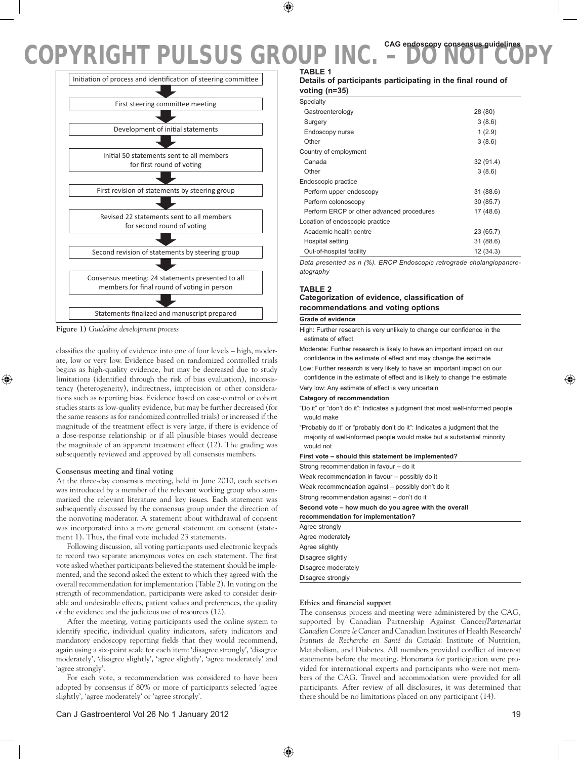

**Figure 1)** *Guideline development process*

classifies the quality of evidence into one of four levels – high, moderate, low or very low. Evidence based on randomized controlled trials begins as high-quality evidence, but may be decreased due to study limitations (identified through the risk of bias evaluation), inconsistency (heterogeneity), indirectness, imprecision or other considerations such as reporting bias. Evidence based on case-control or cohort studies starts as low-quality evidence, but may be further decreased (for the same reasons as for randomized controlled trials) or increased if the magnitude of the treatment effect is very large, if there is evidence of a dose-response relationship or if all plausible biases would decrease the magnitude of an apparent treatment effect (12). The grading was subsequently reviewed and approved by all consensus members.

### **Consensus meeting and final voting**

At the three-day consensus meeting, held in June 2010, each section was introduced by a member of the relevant working group who summarized the relevant literature and key issues. Each statement was subsequently discussed by the consensus group under the direction of the nonvoting moderator. A statement about withdrawal of consent was incorporated into a more general statement on consent (statement 1). Thus, the final vote included 23 statements.

Following discussion, all voting participants used electronic keypads to record two separate anonymous votes on each statement. The first vote asked whether participants believed the statement should be implemented, and the second asked the extent to which they agreed with the overall recommendation for implementation (Table 2). In voting on the strength of recommendation, participants were asked to consider desirable and undesirable effects, patient values and preferences, the quality of the evidence and the judicious use of resources (12).

After the meeting, voting participants used the online system to identify specific, individual quality indicators, safety indicators and mandatory endoscopy reporting fields that they would recommend, again using a six-point scale for each item: 'disagree strongly', 'disagree moderately', 'disagree slightly', 'agree slightly', 'agree moderately' and 'agree strongly'.

For each vote, a recommendation was considered to have been adopted by consensus if 80% or more of participants selected 'agree slightly', 'agree moderately' or 'agree strongly'.

### **Table 1**

|               | Details of participants participating in the final round of |  |  |  |
|---------------|-------------------------------------------------------------|--|--|--|
| voting (n=35) |                                                             |  |  |  |

| Specialty                                 |           |
|-------------------------------------------|-----------|
| Gastroenterology                          | 28 (80)   |
| Surgery                                   | 3(8.6)    |
| Endoscopy nurse                           | 1(2.9)    |
| Other                                     | 3(8.6)    |
| Country of employment                     |           |
| Canada                                    | 32 (91.4) |
| Other                                     | 3(8.6)    |
| Endoscopic practice                       |           |
| Perform upper endoscopy                   | 31(88.6)  |
| Perform colonoscopy                       | 30(85.7)  |
| Perform ERCP or other advanced procedures | 17 (48.6) |
| Location of endoscopic practice           |           |
| Academic health centre                    | 23 (65.7) |
| Hospital setting                          | 31(88.6)  |
| Out-of-hospital facility                  | 12(34.3)  |

*Data presented as n (%). ERCP Endoscopic retrograde cholangiopancreatography*

# **Table 2 Categorization of evidence, classification of recommendations and voting options**

### **Grade of evidence**

High: Further research is very unlikely to change our confidence in the estimate of effect

Moderate: Further research is likely to have an important impact on our confidence in the estimate of effect and may change the estimate

Low: Further research is very likely to have an important impact on our confidence in the estimate of effect and is likely to change the estimate

Very low: Any estimate of effect is very uncertain

#### **Category of recommendation**

"Do it" or "don't do it": Indicates a judgment that most well-informed people would make

"Probably do it" or "probably don't do it": Indicates a judgment that the majority of well-informed people would make but a substantial minority would not

### **First vote – should this statement be implemented?**

Strong recommendation in favour – do it

Weak recommendation in favour – possibly do it

Weak recommendation against – possibly don't do it

Strong recommendation against – don't do it

#### **Second vote – how much do you agree with the overall**

**recommendation for implementation?** Agree strongly Agree moderately Agree slightly Disagree slightly Disagree moderately Disagree strongly

### **Ethics and financial support**

The consensus process and meeting were administered by the CAG, supported by Canadian Partnership Against Cancer/*Partenariat Canadien Contre le Cancer* and Canadian Institutes of Health Research/ *Instituts de Recherche en Santé du Canada*: Institute of Nutrition, Metabolism, and Diabetes. All members provided conflict of interest statements before the meeting. Honoraria for participation were provided for international experts and participants who were not members of the CAG. Travel and accommodation were provided for all participants. After review of all disclosures, it was determined that there should be no limitations placed on any participant (14).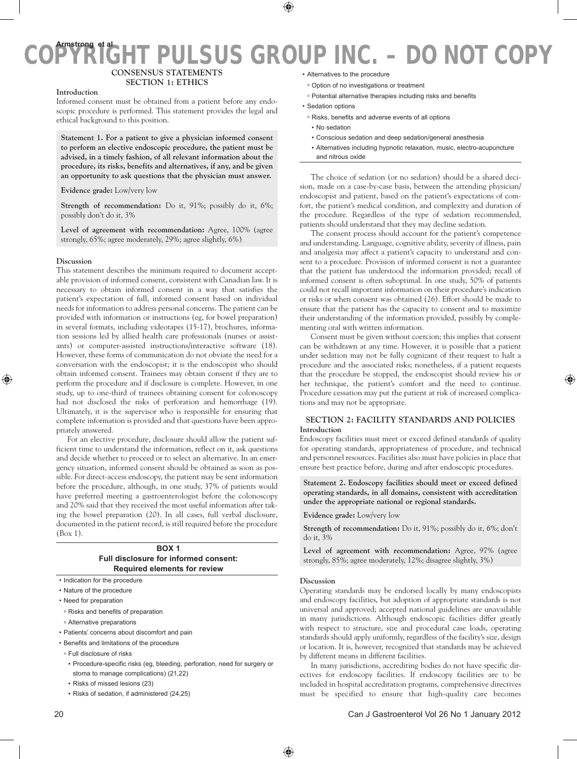# **Consensus Statements Section 1: Ethics**

**Introduction**

Informed consent must be obtained from a patient before any endoscopic procedure is performed. This statement provides the legal and ethical background to this position.

**Statement 1. For a patient to give a physician informed consent to perform an elective endoscopic procedure, the patient must be advised, in a timely fashion, of all relevant information about the procedure, its risks, benefits and alternatives, if any, and be given an opportunity to ask questions that the physician must answer.** 

**Evidence grade:** Low/very low

**Strength of recommendation:** Do it, 91%; possibly do it, 6%; possibly don't do it, 3%

**Level of agreement with recommendation:** Agree, 100% (agree strongly, 65%; agree moderately, 29%; agree slightly, 6%)

# **Discussion**

This statement describes the minimum required to document acceptable provision of informed consent, consistent with Canadian law. It is necessary to obtain informed consent in a way that satisfies the patient's expectation of full, informed consent based on individual needs for information to address personal concerns. The patient can be provided with information or instructions (eg, for bowel preparation) in several formats, including videotapes (15-17), brochures, information sessions led by allied health care professionals (nurses or assistants) or computer-assisted instructions/interactive software (18). However, these forms of communication do not obviate the need for a conversation with the endoscopist; it is the endoscopist who should obtain informed consent. Trainees may obtain consent if they are to perform the procedure and if disclosure is complete. However, in one study, up to one-third of trainees obtaining consent for colonoscopy had not disclosed the risks of perforation and hemorrhage (19). Ultimately, it is the supervisor who is responsible for ensuring that complete information is provided and that questions have been appropriately answered.

For an elective procedure, disclosure should allow the patient sufficient time to understand the information, reflect on it, ask questions and decide whether to proceed or to select an alternative. In an emergency situation, informed consent should be obtained as soon as possible. For direct-access endoscopy, the patient may be sent information before the procedure, although, in one study, 37% of patients would have preferred meeting a gastroenterologist before the colonoscopy and 20% said that they received the most useful information after taking the bowel preparation (20). In all cases, full verbal disclosure, documented in the patient record, is still required before the procedure (Box 1).

# **Box 1 Full disclosure for informed consent: Required elements for review**

- Indication for the procedure
- • Nature of the procedure
- • Need for preparation
- <sup>o</sup> Risks and benefits of preparation
- Alternative preparations
- • Patients' concerns about discomfort and pain
- • Benefits and limitations of the procedure
- Full disclosure of risks
- · Procedure-specific risks (eg, bleeding, perforation, need for surgery or stoma to manage complications) (21,22)
- ▪ Risks of missed lesions (23)
- ▪ Risks of sedation, if administered (24,25)
- • Alternatives to the procedure
- Option of no investigations or treatment
- Potential alternative therapies including risks and benefits
- Sedation options
- Risks, benefits and adverse events of all options
- ▪ No sedation
- ▪ Conscious sedation and deep sedation/general anesthesia
- Alternatives including hypnotic relaxation, music, electro-acupuncture and nitrous oxide

The choice of sedation (or no sedation) should be a shared decision, made on a case-by-case basis, between the attending physician/ endoscopist and patient, based on the patient's expectations of comfort, the patient's medical condition, and complexity and duration of the procedure. Regardless of the type of sedation recommended, patients should understand that they may decline sedation.

The consent process should account for the patient's competence and understanding. Language, cognitive ability, severity of illness, pain and analgesia may affect a patient's capacity to understand and consent to a procedure. Provision of informed consent is not a guarantee that the patient has understood the information provided; recall of informed consent is often suboptimal. In one study, 50% of patients could not recall important information on their procedure's indication or risks or when consent was obtained (26). Effort should be made to ensure that the patient has the capacity to consent and to maximize their understanding of the information provided, possibly by complementing oral with written information.

Consent must be given without coercion; this implies that consent can be withdrawn at any time. However, it is possible that a patient under sedation may not be fully cognizant of their request to halt a procedure and the associated risks; nonetheless, if a patient requests that the procedure be stopped, the endoscopist should review his or her technique, the patient's comfort and the need to continue. Procedure cessation may put the patient at risk of increased complications and may not be appropriate.

# **Section 2: Facility standards and policies Introduction**

Endoscopy facilities must meet or exceed defined standards of quality for operating standards, appropriateness of procedure, and technical and personnel resources. Facilities also must have policies in place that ensure best practice before, during and after endoscopic procedures.

**Statement 2. Endoscopy facilities should meet or exceed defined operating standards, in all domains, consistent with accreditation under the appropriate national or regional standards.**

**Evidence grade:** Low/very low

**Strength of recommendation:** Do it, 91%; possibly do it, 6%; don't do it, 3%

**Level of agreement with recommendation:** Agree, 97% (agree strongly, 85%; agree moderately, 12%; disagree slightly, 3%)

### **Discussion**

Operating standards may be endorsed locally by many endoscopists and endoscopy facilities, but adoption of appropriate standards is not universal and approved; accepted national guidelines are unavailable in many jurisdictions. Although endoscopic facilities differ greatly with respect to structure, size and procedural case loads, operating standards should apply uniformly, regardless of the facility's size, design or location. It is, however, recognized that standards may be achieved by different means in different facilities.

In many jurisdictions, accrediting bodies do not have specific directives for endoscopy facilities. If endoscopy facilities are to be included in hospital accreditation programs, comprehensive directives must be specified to ensure that high-quality care becomes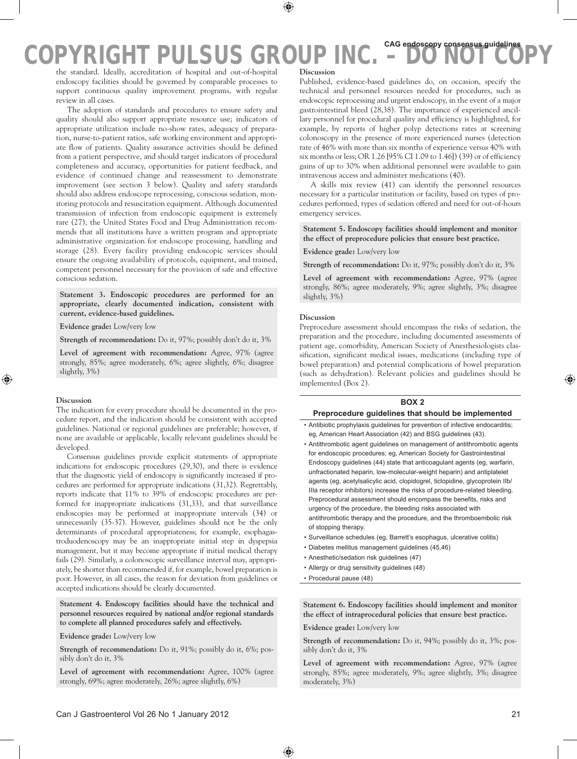the standard. Ideally, accreditation of hospital and out-of-hospital endoscopy facilities should be governed by comparable processes to support continuous quality improvement programs, with regular review in all cases.

The adoption of standards and procedures to ensure safety and quality should also support appropriate resource use; indicators of appropriate utilization include no-show rates, adequacy of preparation, nurse-to-patient ratios, safe working environment and appropriate flow of patients. Quality assurance activities should be defined from a patient perspective, and should target indicators of procedural completeness and accuracy, opportunities for patient feedback, and evidence of continued change and reassessment to demonstrate improvement (see section 3 below). Quality and safety standards should also address endoscope reprocessing, conscious sedation, monitoring protocols and resuscitation equipment. Although documented transmission of infection from endoscopic equipment is extremely rare (27), the United States Food and Drug Administration recommends that all institutions have a written program and appropriate administrative organization for endoscope processing, handling and storage (28). Every facility providing endoscopic services should ensure the ongoing availability of protocols, equipment, and trained, competent personnel necessary for the provision of safe and effective conscious sedation.

**Statement 3. Endoscopic procedures are performed for an appropriate, clearly documented indication, consistent with current, evidence-based guidelines.**

**Evidence grade:** Low/very low

**Strength of recommendation:** Do it, 97%; possibly don't do it, 3%

**Level of agreement with recommendation:** Agree, 97% (agree strongly, 85%; agree moderately, 6%; agree slightly, 6%; disagree slightly, 3%)

### **Discussion**

The indication for every procedure should be documented in the procedure report, and the indication should be consistent with accepted guidelines. National or regional guidelines are preferable; however, if none are available or applicable, locally relevant guidelines should be developed.

Consensus guidelines provide explicit statements of appropriate indications for endoscopic procedures (29,30), and there is evidence that the diagnostic yield of endoscopy is significantly increased if procedures are performed for appropriate indications (31,32). Regrettably, reports indicate that 11% to 39% of endoscopic procedures are performed for inappropriate indications (31,33), and that surveillance endoscopies may be performed at inappropriate intervals (34) or unnecessarily (35-37). However, guidelines should not be the only determinants of procedural appropriateness; for example, esophagastroduodenoscopy may be an inappropriate initial step in dyspepsia management, but it may become appropriate if initial medical therapy fails (29). Similarly, a colonoscopic surveillance interval may, appropriately, be shorter than recommended if, for example, bowel preparation is poor. However, in all cases, the reason for deviation from guidelines or accepted indications should be clearly documented.

**Statement 4. Endoscopy facilities should have the technical and personnel resources required by national and/or regional standards to complete all planned procedures safely and effectively.**

**Evidence grade:** Low/very low

**Strength of recommendation:** Do it, 91%; possibly do it, 6%; possibly don't do it, 3%

**Level of agreement with recommendation:** Agree, 100% (agree strongly, 69%; agree moderately, 26%; agree slightly, 6%)

### **Discussion**

Published, evidence-based guidelines do, on occasion, specify the technical and personnel resources needed for procedures, such as endoscopic reprocessing and urgent endoscopy, in the event of a major gastrointestinal bleed (28,38). The importance of experienced ancillary personnel for procedural quality and efficiency is highlighted, for example, by reports of higher polyp detections rates at screening colonoscopy in the presence of more experienced nurses (detection rate of 46% with more than six months of experience versus 40% with six months or less; OR 1.26 [95% CI 1.09 to 1.46]) (39) or of efficiency gains of up to 30% when additional personnel were available to gain intravenous access and administer medications (40).

A skills mix review (41) can identify the personnel resources necessary for a particular institution or facility, based on types of procedures performed, types of sedation offered and need for out-of-hours emergency services.

**Statement 5. Endoscopy facilities should implement and monitor the effect of preprocedure policies that ensure best practice.**

**Evidence grade:** Low/very low

**Strength of recommendation:** Do it, 97%; possibly don't do it, 3%

**Level of agreement with recommendation:** Agree, 97% (agree strongly, 86%; agree moderately, 9%; agree slightly, 3%; disagree slightly, 3%)

### **Discussion**

Preprocedure assessment should encompass the risks of sedation, the preparation and the procedure, including documented assessments of patient age, comorbidity, American Society of Anesthesiologists classification, significant medical issues, medications (including type of bowel preparation) and potential complications of bowel preparation (such as dehydration). Relevant policies and guidelines should be implemented (Box 2).

# **Box 2**

### **Preprocedure guidelines that should be implemented**

- • Antibiotic prophylaxis guidelines for prevention of infective endocarditis; eg, American Heart Association (42) and BSG guidelines (43).
- • Antithrombotic agent guidelines on management of antithrombotic agents for endoscopic procedures; eg, American Society for Gastrointestinal Endoscopy guidelines (44) state that anticoagulant agents (eg, warfarin, unfractionated heparin, low-molecular-weight heparin) and antiplatelet agents (eg, acetylsalicylic acid, clopidogrel, ticlopidine, glycoprotein IIb/ IIIa receptor inhibitors) increase the risks of procedure-related bleeding. Preprocedural assessment should encompass the benefits, risks and urgency of the procedure, the bleeding risks associated with antithrombotic therapy and the procedure, and the thromboembolic risk of stopping therapy.
- Surveillance schedules (eg, Barrett's esophagus, ulcerative colitis)
- • Diabetes mellitus management guidelines (45,46)
- Anesthetic/sedation risk guidelines (47)
- • Allergy or drug sensitivity guidelines (48)
- • Procedural pause (48)

**Statement 6. Endoscopy facilities should implement and monitor the effect of intraprocedural policies that ensure best practice.**

**Evidence grade:** Low/very low

**Strength of recommendation:** Do it, 94%; possibly do it, 3%; possibly don't do it, 3%

Level of agreement with recommendation: Agree, 97% (agree strongly, 85%; agree moderately, 9%; agree slightly, 3%; disagree moderately, 3%)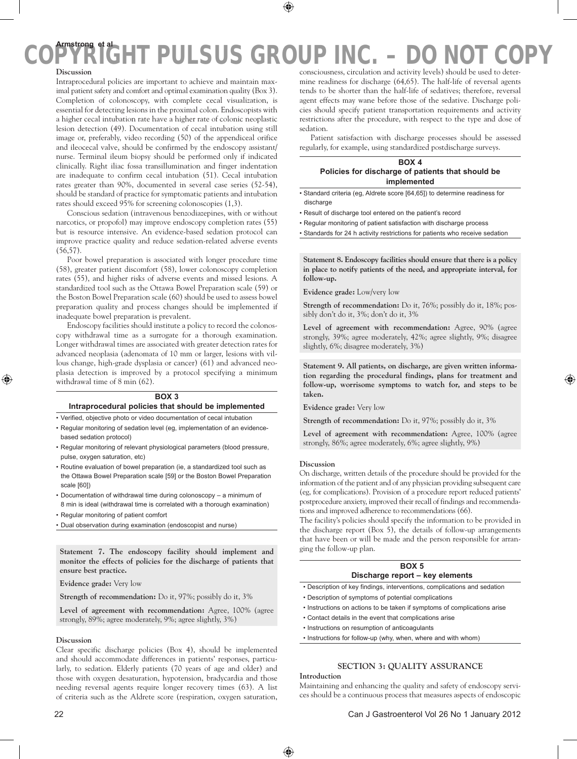# **Discussion**

Intraprocedural policies are important to achieve and maintain maximal patient safety and comfort and optimal examination quality (Box 3). Completion of colonoscopy, with complete cecal visualization, is essential for detecting lesions in the proximal colon. Endoscopists with a higher cecal intubation rate have a higher rate of colonic neoplastic lesion detection (49). Documentation of cecal intubation using still image or, preferably, video recording (50) of the appendiceal orifice and ileocecal valve, should be confirmed by the endoscopy assistant/ nurse. Terminal ileum biopsy should be performed only if indicated clinically. Right iliac fossa transillumination and finger indentation are inadequate to confirm cecal intubation (51). Cecal intubation rates greater than 90%, documented in several case series (52-54), should be standard of practice for symptomatic patients and intubation rates should exceed 95% for screening colonoscopies (1,3).

Conscious sedation (intravenous benzodiazepines, with or without narcotics, or propofol) may improve endoscopy completion rates (55) but is resource intensive. An evidence-based sedation protocol can improve practice quality and reduce sedation-related adverse events (56,57).

Poor bowel preparation is associated with longer procedure time (58), greater patient discomfort (58), lower colonoscopy completion rates (55), and higher risks of adverse events and missed lesions. A standardized tool such as the Ottawa Bowel Preparation scale (59) or the Boston Bowel Preparation scale (60) should be used to assess bowel preparation quality and process changes should be implemented if inadequate bowel preparation is prevalent.

Endoscopy facilities should institute a policy to record the colonoscopy withdrawal time as a surrogate for a thorough examination. Longer withdrawal times are associated with greater detection rates for advanced neoplasia (adenomata of 10 mm or larger, lesions with villous change, high-grade dysplasia or cancer) (61) and advanced neoplasia detection is improved by a protocol specifying a minimum withdrawal time of 8 min (62).

# **Box 3 Intraprocedural policies that should be implemented**

- • Verified, objective photo or video documentation of cecal intubation
- Regular monitoring of sedation level (eg, implementation of an evidencebased sedation protocol)
- Regular monitoring of relevant physiological parameters (blood pressure, pulse, oxygen saturation, etc)
- • Routine evaluation of bowel preparation (ie, a standardized tool such as the Ottawa Bowel Preparation scale [59] or the Boston Bowel Preparation scale [60])
- • Documentation of withdrawal time during colonoscopy a minimum of 8 min is ideal (withdrawal time is correlated with a thorough examination)
- • Regular monitoring of patient comfort
- • Dual observation during examination (endoscopist and nurse)

**Statement 7. The endoscopy facility should implement and monitor the effects of policies for the discharge of patients that ensure best practice.**

**Evidence grade:** Very low

**Strength of recommendation:** Do it, 97%; possibly do it, 3%

**Level of agreement with recommendation:** Agree, 100% (agree strongly, 89%; agree moderately, 9%; agree slightly, 3%)

## **Discussion**

Clear specific discharge policies (Box 4), should be implemented and should accommodate differences in patients' responses, particularly, to sedation. Elderly patients (70 years of age and older) and those with oxygen desaturation, hypotension, bradycardia and those needing reversal agents require longer recovery times (63). A list of criteria such as the Aldrete score (respiration, oxygen saturation,

Patient satisfaction with discharge processes should be assessed regularly, for example, using standardized postdischarge surveys.

# **Box 4 Policies for discharge of patients that should be implemented**

- Standard criteria (eg, Aldrete score [64,65]) to determine readiness for discharge
- Result of discharge tool entered on the patient's record
- Regular monitoring of patient satisfaction with discharge process
- Standards for 24 h activity restrictions for patients who receive sedation

**Statement 8. Endoscopy facilities should ensure that there is a policy in place to notify patients of the need, and appropriate interval, for follow-up.**

**Evidence grade:** Low/very low

**Strength of recommendation:** Do it, 76%; possibly do it, 18%; possibly don't do it, 3%; don't do it, 3%

**Level of agreement with recommendation:** Agree, 90% (agree strongly, 39%; agree moderately, 42%; agree slightly, 9%; disagree slightly, 6%; disagree moderately, 3%)

**Statement 9. All patients, on discharge, are given written information regarding the procedural findings, plans for treatment and follow-up, worrisome symptoms to watch for, and steps to be taken.**

**Evidence grade:** Very low

**Strength of recommendation:** Do it, 97%; possibly do it, 3%

**Level of agreement with recommendation:** Agree, 100% (agree strongly, 86%; agree moderately, 6%; agree slightly, 9%)

## **Discussion**

On discharge, written details of the procedure should be provided for the information of the patient and of any physician providing subsequent care (eg, for complications). Provision of a procedure report reduced patients' postprocedure anxiety, improved their recall of findings and recommendations and improved adherence to recommendations (66).

The facility's policies should specify the information to be provided in the discharge report (Box 5), the details of follow-up arrangements that have been or will be made and the person responsible for arranging the follow-up plan.

# **Box 5 Discharge report – key elements**

- Description of key findings, interventions, complications and sedation
- Description of symptoms of potential complications
- Instructions on actions to be taken if symptoms of complications arise
- Contact details in the event that complications arise
- Instructions on resumption of anticoagulants
- Instructions for follow-up (why, when, where and with whom)

# **Section 3: Quality assurance**

# **Introduction**

Maintaining and enhancing the quality and safety of endoscopy services should be a continuous process that measures aspects of endoscopic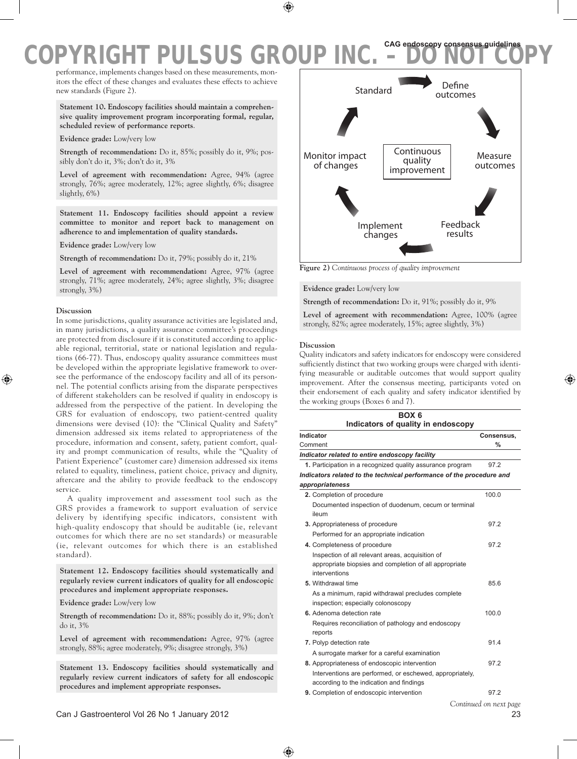performance, implements changes based on these measurements, monitors the effect of these changes and evaluates these effects to achieve new standards (Figure 2).

**Statement 10. Endoscopy facilities should maintain a comprehensive quality improvement program incorporating formal, regular, scheduled review of performance reports**.

**Evidence grade:** Low/very low

**Strength of recommendation:** Do it, 85%; possibly do it, 9%; possibly don't do it, 3%; don't do it, 3%

**Level of agreement with recommendation:** Agree, 94% (agree strongly, 76%; agree moderately, 12%; agree slightly, 6%; disagree slightly, 6%)

**Statement 11. Endoscopy facilities should appoint a review committee to monitor and report back to management on adherence to and implementation of quality standards.**

**Evidence grade:** Low/very low

**Strength of recommendation:** Do it, 79%; possibly do it, 21%

**Level of agreement with recommendation:** Agree, 97% (agree strongly, 71%; agree moderately, 24%; agree slightly, 3%; disagree strongly, 3%)

### **Discussion**

In some jurisdictions, quality assurance activities are legislated and, in many jurisdictions, a quality assurance committee's proceedings are protected from disclosure if it is constituted according to applicable regional, territorial, state or national legislation and regulations (66-77). Thus, endoscopy quality assurance committees must be developed within the appropriate legislative framework to oversee the performance of the endoscopy facility and all of its personnel. The potential conflicts arising from the disparate perspectives of different stakeholders can be resolved if quality in endoscopy is addressed from the perspective of the patient. In developing the GRS for evaluation of endoscopy, two patient-centred quality dimensions were devised (10): the "Clinical Quality and Safety" dimension addressed six items related to appropriateness of the procedure, information and consent, safety, patient comfort, quality and prompt communication of results, while the "Quality of Patient Experience" (customer care) dimension addressed six items related to equality, timeliness, patient choice, privacy and dignity, aftercare and the ability to provide feedback to the endoscopy service.

A quality improvement and assessment tool such as the GRS provides a framework to support evaluation of service delivery by identifying specific indicators, consistent with high-quality endoscopy that should be auditable (ie, relevant outcomes for which there are no set standards) or measurable (ie, relevant outcomes for which there is an established standard).

**Statement 12. Endoscopy facilities should systematically and regularly review current indicators of quality for all endoscopic procedures and implement appropriate responses.**

**Evidence grade:** Low/very low

**Strength of recommendation:** Do it, 88%; possibly do it, 9%; don't do it, 3%

Level of agreement with recommendation: Agree, 97% (agree strongly, 88%; agree moderately, 9%; disagree strongly, 3%)

**Statement 13. Endoscopy facilities should systematically and regularly review current indicators of safety for all endoscopic procedures and implement appropriate responses.**



**Figure 2)** *Continuous process of quality improvement*

**Evidence grade:** Low/very low

**Strength of recommendation:** Do it, 91%; possibly do it, 9%

**Level of agreement with recommendation:** Agree, 100% (agree strongly, 82%; agree moderately, 15%; agree slightly, 3%)

### **Discussion**

Quality indicators and safety indicators for endoscopy were considered sufficiently distinct that two working groups were charged with identifying measurable or auditable outcomes that would support quality improvement. After the consensus meeting, participants voted on their endorsement of each quality and safety indicator identified by the working groups (Boxes 6 and 7).

| BOX <sub>6</sub><br>Indicators of quality in endoscopy                                                                      |               |  |
|-----------------------------------------------------------------------------------------------------------------------------|---------------|--|
| Indicator                                                                                                                   | Consensus.    |  |
| Comment                                                                                                                     | $\frac{0}{0}$ |  |
| Indicator related to entire endoscopy facility                                                                              |               |  |
| 1. Participation in a recognized quality assurance program                                                                  | 972           |  |
| Indicators related to the technical performance of the procedure and<br>appropriateness                                     |               |  |
| 2. Completion of procedure                                                                                                  | 100.0         |  |
| Documented inspection of duodenum, cecum or terminal<br>ileum                                                               |               |  |
| 3. Appropriateness of procedure                                                                                             | 97.2          |  |
| Performed for an appropriate indication                                                                                     |               |  |
| 4. Completeness of procedure                                                                                                | 97.2          |  |
| Inspection of all relevant areas, acquisition of<br>appropriate biopsies and completion of all appropriate<br>interventions |               |  |
| 5. Withdrawal time                                                                                                          | 85.6          |  |
| As a minimum, rapid withdrawal precludes complete<br>inspection; especially colonoscopy                                     |               |  |
| 6. Adenoma detection rate                                                                                                   | 100.0         |  |
| Requires reconciliation of pathology and endoscopy<br>reports                                                               |               |  |
| 7. Polyp detection rate                                                                                                     | 91.4          |  |
| A surrogate marker for a careful examination                                                                                |               |  |
| 8. Appropriateness of endoscopic intervention                                                                               | 97.2          |  |
| Interventions are performed, or eschewed, appropriately,<br>according to the indication and findings                        |               |  |
| 9. Completion of endoscopic intervention                                                                                    | 97.2          |  |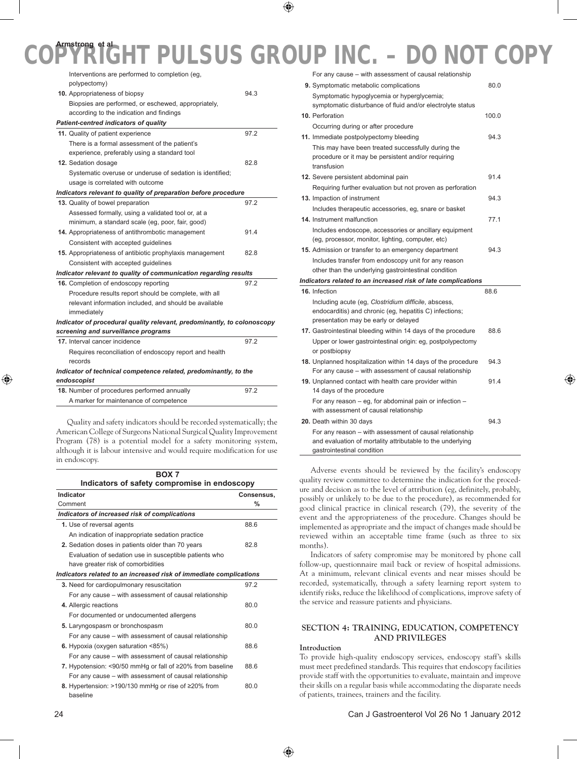# **COPYRIGHT PULSUS GROUP INC.** FULL ASSESSED AND LOCAL AND LOCAL AND LOCAL AND LOCAL AND LOCAL AND LOCAL AND LOCAL AND LOCAL AND LOCAL AND LOCAL AND LOCAL AND LOCAL AND LOCAL AND LOCAL AND LOCAL AND LOCAL AND LOCAL AND LOCA **Armstrong et al**

| Interventions are performed to completion (eg,                          |      |
|-------------------------------------------------------------------------|------|
| polypectomy)                                                            |      |
| 10. Appropriateness of biopsy                                           | 94.3 |
| Biopsies are performed, or eschewed, appropriately,                     |      |
| according to the indication and findings                                |      |
| Patient-centred indicators of quality                                   |      |
| 11. Quality of patient experience                                       | 97.2 |
| There is a formal assessment of the patient's                           |      |
| experience, preferably using a standard tool                            |      |
| 12. Sedation dosage                                                     | 82.8 |
| Systematic overuse or underuse of sedation is identified;               |      |
| usage is correlated with outcome                                        |      |
| Indicators relevant to quality of preparation before procedure          |      |
| 13. Quality of bowel preparation                                        | 97.2 |
| Assessed formally, using a validated tool or, at a                      |      |
| minimum, a standard scale (eg, poor, fair, good)                        |      |
| 14. Appropriateness of antithrombotic management                        | 91.4 |
| Consistent with accepted guidelines                                     |      |
| 15. Appropriateness of antibiotic prophylaxis management                | 82.8 |
| Consistent with accepted guidelines                                     |      |
| Indicator relevant to quality of communication regarding results        |      |
| 16. Completion of endoscopy reporting                                   | 97.2 |
| Procedure results report should be complete, with all                   |      |
| relevant information included, and should be available                  |      |
| immediately                                                             |      |
| Indicator of procedural quality relevant, predominantly, to colonoscopy |      |
| screening and surveillance programs                                     |      |
| 17. Interval cancer incidence                                           | 97.2 |
| Requires reconciliation of endoscopy report and health                  |      |
| records                                                                 |      |
| Indicator of technical competence related, predominantly, to the        |      |
| endoscopist                                                             |      |
| 18. Number of procedures performed annually                             | 97.2 |
| A marker for maintenance of competence                                  |      |
|                                                                         |      |

Quality and safety indicators should be recorded systematically; the American College of Surgeons National Surgical Quality Improvement Program (78) is a potential model for a safety monitoring system, although it is labour intensive and would require modification for use in endoscopy.

| <b>BOX 7</b>                                                       |            |  |
|--------------------------------------------------------------------|------------|--|
| Indicators of safety compromise in endoscopy                       |            |  |
| Indicator                                                          | Consensus. |  |
| Comment                                                            | %          |  |
| Indicators of increased risk of complications                      |            |  |
| 1. Use of reversal agents                                          | 88.6       |  |
| An indication of inappropriate sedation practice                   |            |  |
| 2. Sedation doses in patients older than 70 years                  | 82.8       |  |
| Evaluation of sedation use in susceptible patients who             |            |  |
| have greater risk of comorbidities                                 |            |  |
| Indicators related to an increased risk of immediate complications |            |  |
| 3. Need for cardiopulmonary resuscitation                          | 97.2       |  |
| For any cause – with assessment of causal relationship             |            |  |
| 4. Allergic reactions                                              | 80.0       |  |
| For documented or undocumented allergens                           |            |  |
| 5. Laryngospasm or bronchospasm                                    | 80.0       |  |
| For any cause – with assessment of causal relationship             |            |  |
| 6. Hypoxia (oxygen saturation <85%)                                | 88.6       |  |
| For any cause – with assessment of causal relationship             |            |  |
| 7. Hypotension: <90/50 mmHq or fall of ≥20% from baseline          | 88.6       |  |
| For any cause – with assessment of causal relationship             |            |  |
| 8. Hypertension: >190/130 mmHg or rise of ≥20% from<br>baseline    | 80.0       |  |

| For any cause – with assessment of causal relationship                                                                                                  |       |
|---------------------------------------------------------------------------------------------------------------------------------------------------------|-------|
| 9. Symptomatic metabolic complications                                                                                                                  | 80.0  |
| Symptomatic hypoglycemia or hyperglycemia;                                                                                                              |       |
| symptomatic disturbance of fluid and/or electrolyte status                                                                                              |       |
| 10. Perforation                                                                                                                                         | 100.0 |
| Occurring during or after procedure                                                                                                                     |       |
| 11. Immediate postpolypectomy bleeding                                                                                                                  | 94.3  |
| This may have been treated successfully during the<br>procedure or it may be persistent and/or requiring<br>transfusion                                 |       |
| 12. Severe persistent abdominal pain                                                                                                                    | 91.4  |
| Requiring further evaluation but not proven as perforation                                                                                              |       |
| 13. Impaction of instrument                                                                                                                             | 94.3  |
| Includes therapeutic accessories, eg, snare or basket                                                                                                   |       |
| 14. Instrument malfunction                                                                                                                              | 77.1  |
| Includes endoscope, accessories or ancillary equipment<br>(eg, processor, monitor, lighting, computer, etc)                                             |       |
| 15. Admission or transfer to an emergency department                                                                                                    | 94.3  |
| Includes transfer from endoscopy unit for any reason<br>other than the underlying gastrointestinal condition                                            |       |
| Indicators related to an increased risk of late complications                                                                                           |       |
| 16. Infection                                                                                                                                           | 88.6  |
| Including acute (eq. Clostridium difficile, abscess,<br>endocarditis) and chronic (eg, hepatitis C) infections;<br>presentation may be early or delayed |       |
| 17. Gastrointestinal bleeding within 14 days of the procedure                                                                                           | 88.6  |
| Upper or lower gastrointestinal origin: eg, postpolypectomy<br>or postbiopsy                                                                            |       |
| 18. Unplanned hospitalization within 14 days of the procedure<br>For any cause – with assessment of causal relationship                                 | 94.3  |
| 19. Unplanned contact with health care provider within<br>14 days of the procedure                                                                      | 91.4  |
|                                                                                                                                                         |       |
| For any reason – eq, for abdominal pain or infection –<br>with assessment of causal relationship                                                        |       |
| 20. Death within 30 days                                                                                                                                | 94.3  |

Adverse events should be reviewed by the facility's endoscopy quality review committee to determine the indication for the procedure and decision as to the level of attribution (eg, definitely, probably, possibly or unlikely to be due to the procedure), as recommended for good clinical practice in clinical research (79), the severity of the event and the appropriateness of the procedure. Changes should be implemented as appropriate and the impact of changes made should be reviewed within an acceptable time frame (such as three to six months).

Indicators of safety compromise may be monitored by phone call follow-up, questionnaire mail back or review of hospital admissions. At a minimum, relevant clinical events and near misses should be recorded, systematically, through a safety learning report system to identify risks, reduce the likelihood of complications, improve safety of the service and reassure patients and physicians.

# **Section 4: Training, education, competency and privileges**

# **Introduction**

gastrointestinal condition

To provide high-quality endoscopy services, endoscopy staff's skills must meet predefined standards. This requires that endoscopy facilities provide staff with the opportunities to evaluate, maintain and improve their skills on a regular basis while accommodating the disparate needs of patients, trainees, trainers and the facility.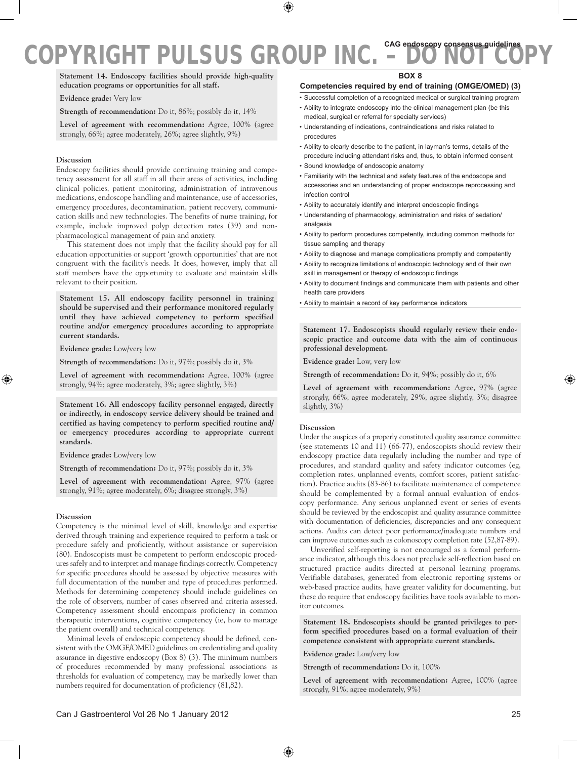**Statement 14. Endoscopy facilities should provide high-quality education programs or opportunities for all staff.**

**Evidence grade:** Very low

**Strength of recommendation:** Do it, 86%; possibly do it, 14%

**Level of agreement with recommendation:** Agree, 100% (agree strongly, 66%; agree moderately, 26%; agree slightly, 9%)

### **Discussion**

Endoscopy facilities should provide continuing training and competency assessment for all staff in all their areas of activities, including clinical policies, patient monitoring, administration of intravenous medications, endoscope handling and maintenance, use of accessories, emergency procedures, decontamination, patient recovery, communication skills and new technologies. The benefits of nurse training, for example, include improved polyp detection rates (39) and nonpharmacological management of pain and anxiety.

This statement does not imply that the facility should pay for all education opportunities or support 'growth opportunities' that are not congruent with the facility's needs. It does, however, imply that all staff members have the opportunity to evaluate and maintain skills relevant to their position.

**Statement 15. All endoscopy facility personnel in training should be supervised and their performance monitored regularly until they have achieved competency to perform specified routine and/or emergency procedures according to appropriate current standards.**

**Evidence grade:** Low/very low

**Strength of recommendation:** Do it, 97%; possibly do it, 3%

**Level of agreement with recommendation:** Agree, 100% (agree strongly, 94%; agree moderately, 3%; agree slightly, 3%)

**Statement 16. All endoscopy facility personnel engaged, directly or indirectly, in endoscopy service delivery should be trained and certified as having competency to perform specified routine and/ or emergency procedures according to appropriate current standards**.

**Evidence grade:** Low/very low

**Strength of recommendation:** Do it, 97%; possibly do it, 3%

Level of agreement with recommendation: Agree, 97% (agree strongly, 91%; agree moderately, 6%; disagree strongly, 3%)

### **Discussion**

Competency is the minimal level of skill, knowledge and expertise derived through training and experience required to perform a task or procedure safely and proficiently, without assistance or supervision (80). Endoscopists must be competent to perform endoscopic procedures safely and to interpret and manage findings correctly. Competency for specific procedures should be assessed by objective measures with full documentation of the number and type of procedures performed. Methods for determining competency should include guidelines on the role of observers, number of cases observed and criteria assessed. Competency assessment should encompass proficiency in common therapeutic interventions, cognitive competency (ie, how to manage the patient overall) and technical competency.

Minimal levels of endoscopic competency should be defined, consistent with the OMGE/OMED guidelines on credentialing and quality assurance in digestive endoscopy (Box 8) (3). The minimum numbers of procedures recommended by many professional associations as thresholds for evaluation of competency, may be markedly lower than numbers required for documentation of proficiency (81,82).

### **Competencies required by end of training (OMGE/OMED) (3)**

- Successful completion of a recognized medical or surgical training program
- Ability to integrate endoscopy into the clinical management plan (be this medical, surgical or referral for specialty services)
- • Understanding of indications, contraindications and risks related to procedures
- • Ability to clearly describe to the patient, in layman's terms, details of the procedure including attendant risks and, thus, to obtain informed consent
- • Sound knowledge of endoscopic anatomy
- • Familiarity with the technical and safety features of the endoscope and accessories and an understanding of proper endoscope reprocessing and infection control
- • Ability to accurately identify and interpret endoscopic findings
- • Understanding of pharmacology, administration and risks of sedation/ analgesia
- • Ability to perform procedures competently, including common methods for tissue sampling and therapy
- • Ability to diagnose and manage complications promptly and competently
- • Ability to recognize limitations of endoscopic technology and of their own skill in management or therapy of endoscopic findings
- • Ability to document findings and communicate them with patients and other health care providers
- • Ability to maintain a record of key performance indicators

**Statement 17. Endoscopists should regularly review their endoscopic practice and outcome data with the aim of continuous professional development.**

**Evidence grade:** Low, very low

**Strength of recommendation:** Do it, 94%; possibly do it, 6%

**Level of agreement with recommendation:** Agree, 97% (agree strongly, 66%; agree moderately, 29%; agree slightly, 3%; disagree slightly, 3%)

# **Discussion**

Under the auspices of a properly constituted quality assurance committee (see statements 10 and 11) (66-77), endoscopists should review their endoscopy practice data regularly including the number and type of procedures, and standard quality and safety indicator outcomes (eg, completion rates, unplanned events, comfort scores, patient satisfaction). Practice audits (83-86) to facilitate maintenance of competence should be complemented by a formal annual evaluation of endoscopy performance. Any serious unplanned event or series of events should be reviewed by the endoscopist and quality assurance committee with documentation of deficiencies, discrepancies and any consequent actions. Audits can detect poor performance/inadequate numbers and can improve outcomes such as colonoscopy completion rate (52,87-89).

Unverified self-reporting is not encouraged as a formal performance indicator, although this does not preclude self-reflection based on structured practice audits directed at personal learning programs. Verifiable databases, generated from electronic reporting systems or web-based practice audits, have greater validity for documenting, but these do require that endoscopy facilities have tools available to monitor outcomes.

**Statement 18. Endoscopists should be granted privileges to perform specified procedures based on a formal evaluation of their competence consistent with appropriate current standards.**

**Evidence grade:** Low/very low

**Strength of recommendation:** Do it, 100%

**Level of agreement with recommendation:** Agree, 100% (agree strongly, 91%; agree moderately, 9%)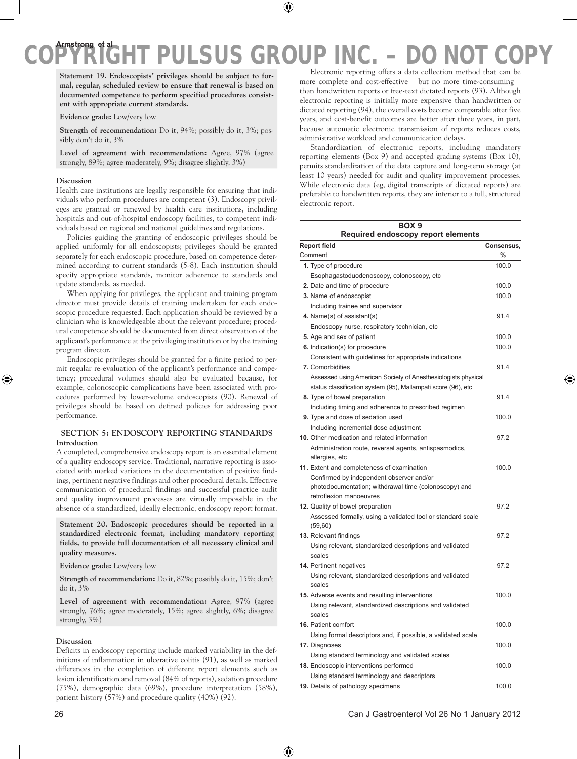**Statement 19. Endoscopists' privileges should be subject to formal, regular, scheduled review to ensure that renewal is based on documented competence to perform specified procedures consistent with appropriate current standards.**

**Evidence grade:** Low/very low

**Strength of recommendation:** Do it, 94%; possibly do it, 3%; possibly don't do it, 3%

Level of agreement with recommendation: Agree, 97% (agree strongly, 89%; agree moderately, 9%; disagree slightly, 3%)

# **Discussion**

Health care institutions are legally responsible for ensuring that individuals who perform procedures are competent (3). Endoscopy privileges are granted or renewed by health care institutions, including hospitals and out-of-hospital endoscopy facilities, to competent individuals based on regional and national guidelines and regulations.

Policies guiding the granting of endoscopic privileges should be applied uniformly for all endoscopists; privileges should be granted separately for each endoscopic procedure, based on competence determined according to current standards (5-8). Each institution should specify appropriate standards, monitor adherence to standards and update standards, as needed.

When applying for privileges, the applicant and training program director must provide details of training undertaken for each endoscopic procedure requested. Each application should be reviewed by a clinician who is knowledgeable about the relevant procedure; procedural competence should be documented from direct observation of the applicant's performance at the privileging institution or by the training program director.

Endoscopic privileges should be granted for a finite period to permit regular re-evaluation of the applicant's performance and competency; procedural volumes should also be evaluated because, for example, colonoscopic complications have been associated with procedures performed by lower-volume endoscopists (90). Renewal of privileges should be based on defined policies for addressing poor performance.

# **Section 5: Endoscopy reporting standards Introduction**

A completed, comprehensive endoscopy report is an essential element of a quality endoscopy service. Traditional, narrative reporting is associated with marked variations in the documentation of positive findings, pertinent negative findings and other procedural details. Effective communication of procedural findings and successful practice audit and quality improvement processes are virtually impossible in the absence of a standardized, ideally electronic, endoscopy report format.

**Statement 20. Endoscopic procedures should be reported in a standardized electronic format, including mandatory reporting fields, to provide full documentation of all necessary clinical and quality measures.**

**Evidence grade:** Low/very low

**Strength of recommendation:** Do it, 82%; possibly do it, 15%; don't do it, 3%

Level of agreement with recommendation: Agree, 97% (agree strongly, 76%; agree moderately, 15%; agree slightly, 6%; disagree strongly, 3%)

# **Discussion**

Deficits in endoscopy reporting include marked variability in the definitions of inflammation in ulcerative colitis (91), as well as marked differences in the completion of different report elements such as lesion identification and removal (84% of reports), sedation procedure (75%), demographic data (69%), procedure interpretation (58%), patient history (57%) and procedure quality (40%) (92).

Electronic reporting offers a data collection method that can be more complete and cost-effective – but no more time-consuming – than handwritten reports or free-text dictated reports (93). Although electronic reporting is initially more expensive than handwritten or dictated reporting (94), the overall costs become comparable after five years, and cost-benefit outcomes are better after three years, in part, because automatic electronic transmission of reports reduces costs, administrative workload and communication delays.

Standardization of electronic reports, including mandatory reporting elements (Box 9) and accepted grading systems (Box 10), permits standardization of the data capture and long-term storage (at least 10 years) needed for audit and quality improvement processes. While electronic data (eg, digital transcripts of dictated reports) are preferable to handwritten reports, they are inferior to a full, structured electronic report.

| BOX <sub>9</sub><br>Required endoscopy report elements                                                                         |            |
|--------------------------------------------------------------------------------------------------------------------------------|------------|
| <b>Report field</b>                                                                                                            | Consensus, |
| Comment                                                                                                                        | $\%$       |
| 1. Type of procedure                                                                                                           | 100.0      |
| Esophagastoduodenoscopy, colonoscopy, etc.                                                                                     |            |
| 2. Date and time of procedure                                                                                                  | 100.0      |
| 3. Name of endoscopist                                                                                                         | 100.0      |
| Including trainee and supervisor                                                                                               |            |
| 4. Name(s) of assistant(s)                                                                                                     | 91.4       |
| Endoscopy nurse, respiratory technician, etc                                                                                   |            |
| 5. Age and sex of patient                                                                                                      | 100.0      |
| 6. Indication(s) for procedure                                                                                                 | 100.0      |
| Consistent with guidelines for appropriate indications                                                                         |            |
| 7. Comorbidities                                                                                                               | 91.4       |
| Assessed using American Society of Anesthesiologists physical<br>status classification system (95), Mallampati score (96), etc |            |
| 8. Type of bowel preparation                                                                                                   | 91.4       |
| Including timing and adherence to prescribed regimen                                                                           |            |
| 9. Type and dose of sedation used                                                                                              | 100.0      |
| Including incremental dose adjustment                                                                                          |            |
| 10. Other medication and related information                                                                                   | 97.2       |
| Administration route, reversal agents, antispasmodics,                                                                         |            |
| allergies, etc                                                                                                                 |            |
| 11. Extent and completeness of examination                                                                                     | 100.0      |
| Confirmed by independent observer and/or                                                                                       |            |
| photodocumentation; withdrawal time (colonoscopy) and                                                                          |            |
| retroflexion manoeuvres                                                                                                        |            |
| 12. Quality of bowel preparation                                                                                               | 97.2       |
| Assessed formally, using a validated tool or standard scale                                                                    |            |
| (59, 60)                                                                                                                       |            |
| 13. Relevant findings                                                                                                          | 97.2       |
| Using relevant, standardized descriptions and validated<br>scales                                                              |            |
| 14. Pertinent negatives                                                                                                        | 97.2       |
| Using relevant, standardized descriptions and validated                                                                        |            |
| scales                                                                                                                         |            |
| 15. Adverse events and resulting interventions                                                                                 | 100.0      |
| Using relevant, standardized descriptions and validated                                                                        |            |
| scales                                                                                                                         |            |
| 16. Patient comfort                                                                                                            | 100.0      |
| Using formal descriptors and, if possible, a validated scale                                                                   |            |
| 17. Diagnoses                                                                                                                  | 100.0      |
| Using standard terminology and validated scales                                                                                |            |
| 18. Endoscopic interventions performed                                                                                         | 100.0      |
| Using standard terminology and descriptors                                                                                     |            |
| 19. Details of pathology specimens                                                                                             | 100.0      |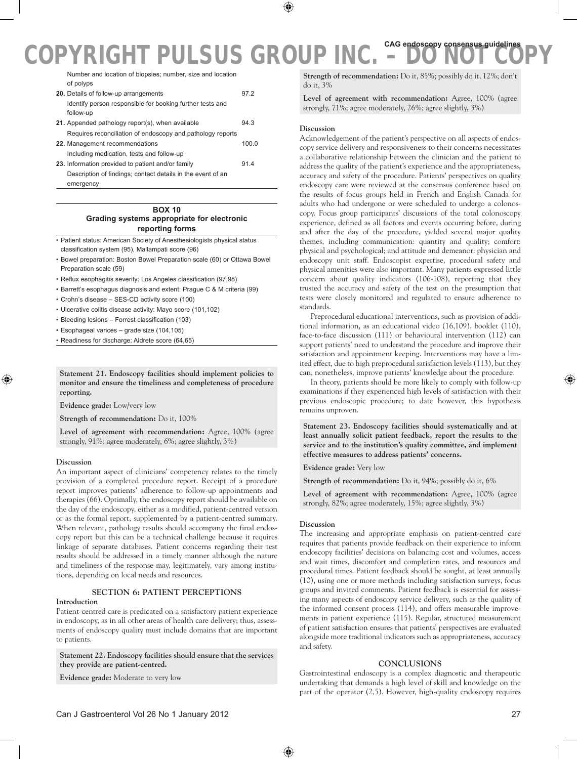Number and location of biopsies; number, size and location of polyps

| 20. Details of follow-up arrangements                       | 972   |
|-------------------------------------------------------------|-------|
| Identify person responsible for booking further tests and   |       |
| follow-up                                                   |       |
| 21. Appended pathology report(s), when available            | 94.3  |
| Requires reconciliation of endoscopy and pathology reports  |       |
| 22. Management recommendations                              | 100.0 |
| Including medication, tests and follow-up                   |       |
| 23. Information provided to patient and/or family           | 914   |
| Description of findings; contact details in the event of an |       |
| emergency                                                   |       |

# **Box 10 Grading systems appropriate for electronic reporting forms**

- • Patient status: American Society of Anesthesiologists physical status classification system (95), Mallampati score (96)
- • Bowel preparation: Boston Bowel Preparation scale (60) or Ottawa Bowel Preparation scale (59)
- • Reflux esophagitis severity: Los Angeles classification (97,98)
- • Barrett's esophagus diagnosis and extent: Prague C & M criteria (99)
- • Crohn's disease SES-CD activity score (100)
- • Ulcerative colitis disease activity: Mayo score (101,102)
- • Bleeding lesions Forrest classification (103)
- • Esophageal varices grade size (104,105)
- • Readiness for discharge: Aldrete score (64,65)

**Statement 21. Endoscopy facilities should implement policies to monitor and ensure the timeliness and completeness of procedure reporting.**

**Evidence grade:** Low/very low

**Strength of recommendation:** Do it, 100%

**Level of agreement with recommendation:** Agree, 100% (agree strongly, 91%; agree moderately, 6%; agree slightly, 3%)

### **Discussion**

An important aspect of clinicians' competency relates to the timely provision of a completed procedure report. Receipt of a procedure report improves patients' adherence to follow-up appointments and therapies (66). Optimally, the endoscopy report should be available on the day of the endoscopy, either as a modified, patient-centred version or as the formal report, supplemented by a patient-centred summary. When relevant, pathology results should accompany the final endoscopy report but this can be a technical challenge because it requires linkage of separate databases. Patient concerns regarding their test results should be addressed in a timely manner although the nature and timeliness of the response may, legitimately, vary among institutions, depending on local needs and resources.

### **Section 6: Patient perceptions**

### **Introduction**

Patient-centred care is predicated on a satisfactory patient experience in endoscopy, as in all other areas of health care delivery; thus, assessments of endoscopy quality must include domains that are important to patients.

**Statement 22. Endoscopy facilities should ensure that the services they provide are patient-centred.**

**Evidence grade:** Moderate to very low

**Strength of recommendation:** Do it, 85%; possibly do it, 12%; don't do it, 3%

**Level of agreement with recommendation:** Agree, 100% (agree strongly, 71%; agree moderately, 26%; agree slightly, 3%)

### **Discussion**

Acknowledgement of the patient's perspective on all aspects of endoscopy service delivery and responsiveness to their concerns necessitates a collaborative relationship between the clinician and the patient to address the quality of the patient's experience and the appropriateness, accuracy and safety of the procedure. Patients' perspectives on quality endoscopy care were reviewed at the consensus conference based on the results of focus groups held in French and English Canada for adults who had undergone or were scheduled to undergo a colonoscopy. Focus group participants' discussions of the total colonoscopy experience, defined as all factors and events occurring before, during and after the day of the procedure, yielded several major quality themes, including communication: quantity and quality; comfort: physical and psychological; and attitude and demeanor: physician and endoscopy unit staff. Endoscopist expertise, procedural safety and physical amenities were also important. Many patients expressed little concern about quality indicators (106-108), reporting that they trusted the accuracy and safety of the test on the presumption that tests were closely monitored and regulated to ensure adherence to standards.

Preprocedural educational interventions, such as provision of additional information, as an educational video (16,109), booklet (110), face-to-face discussion (111) or behavioural intervention (112) can support patients' need to understand the procedure and improve their satisfaction and appointment keeping. Interventions may have a limited effect, due to high preprocedural satisfaction levels (113), but they can, nonetheless, improve patients' knowledge about the procedure.

In theory, patients should be more likely to comply with follow-up examinations if they experienced high levels of satisfaction with their previous endoscopic procedure; to date however, this hypothesis remains unproven.

**Statement 23. Endoscopy facilities should systematically and at least annually solicit patient feedback, report the results to the service and to the institution's quality committee, and implement effective measures to address patients' concerns.**

**Evidence grade:** Very low

**Strength of recommendation:** Do it, 94%; possibly do it, 6%

**Level of agreement with recommendation:** Agree, 100% (agree strongly, 82%; agree moderately, 15%; agree slightly, 3%)

# **Discussion**

The increasing and appropriate emphasis on patient-centred care requires that patients provide feedback on their experience to inform endoscopy facilities' decisions on balancing cost and volumes, access and wait times, discomfort and completion rates, and resources and procedural times. Patient feedback should be sought, at least annually (10), using one or more methods including satisfaction surveys, focus groups and invited comments. Patient feedback is essential for assessing many aspects of endoscopy service delivery, such as the quality of the informed consent process (114), and offers measurable improvements in patient experience (115). Regular, structured measurement of patient satisfaction ensures that patients' perspectives are evaluated alongside more traditional indicators such as appropriateness, accuracy and safety.

### **Conclusions**

Gastrointestinal endoscopy is a complex diagnostic and therapeutic undertaking that demands a high level of skill and knowledge on the part of the operator (2,5). However, high-quality endoscopy requires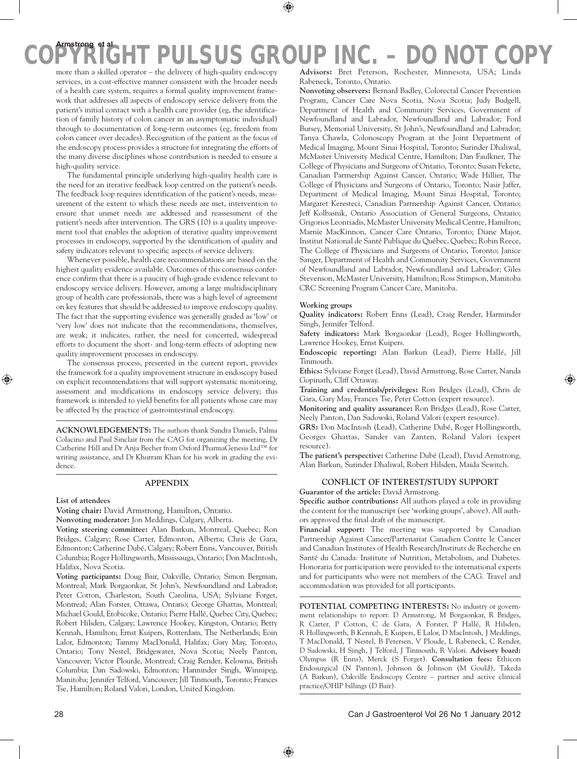more than a skilled operator – the delivery of high-quality endoscopy services, in a cost-effective manner consistent with the broader needs of a health care system, requires a formal quality improvement framework that addresses all aspects of endoscopy service delivery from the patient's initial contact with a health care provider (eg, the identification of family history of colon cancer in an asymptomatic individual) through to documentation of long-term outcomes (eg, freedom from colon cancer over decades). Recognition of the patient as the focus of the endoscopy process provides a structure for integrating the efforts of the many diverse disciplines whose contribution is needed to ensure a high-quality service.

The fundamental principle underlying high-quality health care is the need for an iterative feedback loop centred on the patient's needs. The feedback loop requires identification of the patient's needs, measurement of the extent to which these needs are met, intervention to ensure that unmet needs are addressed and reassessment of the patient's needs after intervention. The GRS (10) is a quality improvement tool that enables the adoption of iterative quality improvement processes in endoscopy, supported by the identification of quality and safety indicators relevant to specific aspects of service delivery.

Whenever possible, health care recommendations are based on the highest quality evidence available. Outcomes of this consensus conference confirm that there is a paucity of high-grade evidence relevant to endoscopy service delivery. However, among a large multidisciplinary group of health care professionals, there was a high level of agreement on key features that should be addressed to improve endoscopy quality. The fact that the supporting evidence was generally graded as 'low' or 'very low' does not indicate that the recommendations, themselves, are weak; it indicates, rather, the need for concerted, widespread efforts to document the short- and long-term effects of adopting new quality improvement processes in endoscopy.

The consensus process, presented in the current report, provides the framework for a quality improvement structure in endoscopy based on explicit recommendations that will support systematic monitoring, assessment and modifications in endoscopy service delivery; this framework is intended to yield benefits for all patients whose care may be affected by the practice of gastrointestinal endoscopy.

**Acknowledgements:** The authors thank Sandra Daniels, Palma Colacino and Paul Sinclair from the CAG for organizing the meeting, Dr Catherine Hill and Dr Anja Becher from Oxford PharmaGenesis Ltd™ for writing assistance, and Dr Khurram Khan for his work in grading the evidence.

# **Appendix**

### **List of attendees**

**Voting chair:** David Armstrong, Hamilton, Ontario.

**Nonvoting moderator:** Jon Meddings, Calgary, Alberta.

**Voting steering committee:** Alan Barkun, Montreal, Quebec; Ron Bridges, Calgary; Rose Carter, Edmonton, Alberta; Chris de Gara, Edmonton; Catherine Dubé, Calgary; Robert Enns, Vancouver, British Columbia; Roger Hollingworth, Mississauga, Ontario; Don MacIntosh, Halifax, Nova Scotia.

**Voting participants:** Doug Bair, Oakville, Ontario; Simon Bergman, Montreal; Mark Borgaonkar, St John's, Newfoundland and Labrador; Peter Cotton, Charleston, South Carolina, USA; Sylviane Forget, Montreal; Alan Forster, Ottawa, Ontario; George Ghattas, Montreal; Michael Gould, Etobicoke, Ontario; Pierre Hallé, Quebec City, Quebec; Robert Hilsden, Calgary; Lawrence Hookey, Kingston, Ontario; Betty Kennah, Hamilton; Ernst Kuipers, Rotterdam, The Netherlands; Eoin Lalor, Edmonton; Tammy MacDonald, Halifax; Gary May, Toronto, Ontario; Tony Nestel, Bridgewater, Nova Scotia; Neely Panton, Vancouver; Victor Plourde, Montreal; Craig Render, Kelowna, British Columbia; Dan Sadowski, Edmonton; Harminder Singh, Winnipeg, Manitoba; Jennifer Telford, Vancouver; Jill Tinmouth, Toronto; Frances Tse, Hamilton; Roland Valori, London, United Kingdom.

**Advisors:** Bret Peterson, Rochester, Minnesota, USA; Linda Rabeneck, Toronto, Ontario.

**Nonvoting observers:** Bernard Badley, Colorectal Cancer Prevention Program, Cancer Care Nova Scotia, Nova Scotia; Judy Budgell, Department of Health and Community Services, Government of Newfoundland and Labrador, Newfoundland and Labrador; Ford Bursey, Memorial University, St John's, Newfoundland and Labrador; Tanya Chawla, Colonoscopy Program at the Joint Department of Medical Imaging, Mount Sinai Hospital, Toronto; Surinder Dhaliwal, McMaster University Medical Centre, Hamilton; Dan Faulkner, The College of Physicians and Surgeons of Ontario, Toronto; Susan Fekete, Canadian Partnership Against Cancer, Ontario; Wade Hillier, The College of Physicians and Surgeons of Ontario, Toronto; Nasir Jaffer, Department of Medical Imaging, Mount Sinai Hospital, Toronto; Margaret Keresteci, Canadian Partnership Against Cancer, Ontario; Jeff Kolbasnik, Ontario Association of General Surgeons, Ontario; Grigorios Leontiadis, McMaster University Medical Centre, Hamilton; Marnie MacKinnon, Cancer Care Ontario, Toronto; Diane Major, Institut National de Santé Publique du Québec, Quebec; Robin Reece, The College of Physicians and Surgeons of Ontario, Toronto; Janice Sanger, Department of Health and Community Services, Government of Newfoundland and Labrador, Newfoundland and Labrador; Giles Stevenson, McMaster University, Hamilton; Ross Stimpson, Manitoba CRC Screening Program Cancer Care, Manitoba.

#### **Working groups**

**Quality indicators:** Robert Enns (Lead), Craig Render, Harminder Singh, Jennifer Telford.

**Safety indicators:** Mark Borgaonkar (Lead), Roger Hollingworth, Lawrence Hookey, Ernst Kuipers.

**Endoscopic reporting:** Alan Barkun (Lead), Pierre Hallé, Jill Tinmouth.

**Ethics:** Sylviane Forget (Lead), David Armstrong, Rose Carter, Nanda Gopinath, Cliff Ottaway.

**Training and credentials/privileges:** Ron Bridges (Lead), Chris de Gara, Gary May, Frances Tse, Peter Cotton (expert resource).

**Monitoring and quality assurance:** Ron Bridges (Lead), Rose Carter, Neely Panton, Dan Sadowski, Roland Valori (expert resource).

**GRS:** Don MacIntosh (Lead), Catherine Dubé, Roger Hollingworth, Georges Ghattas, Sander van Zanten, Roland Valori (expert resource).

**The patient's perspective:** Catherine Dubé (Lead), David Armstrong, Alan Barkun, Surinder Dhaliwal, Robert Hilsden, Maida Sewitch.

# **Conflict of interest/study support**

**Guarantor of the article:** David Armstrong.

**Specific author contributions:** All authors played a role in providing the content for the manuscript (see 'working groups', above). All authors approved the final draft of the manuscript.

**Financial support:** The meeting was supported by Canadian Partnership Against Cancer/Partenariat Canadien Contre le Cancer and Canadian Institutes of Health Research/Instituts de Recherche en Santé du Canada: Institute of Nutrition, Metabolism, and Diabetes. Honoraria for participation were provided to the international experts and for participants who were not members of the CAG. Travel and accommodation was provided for all participants.

POTENTIAL COMPETING INTERESTS: No industry or government relationships to report: D Armstrong, M Borgaonkar, R Bridges, R Carter, P Cotton, C de Gara, A Forster, P Hallé, R Hilsden, R Hollingworth, B Kennah, E Kuipers, E Lalor, D MacIntosh, J Meddings, T MacDonald, T Nestel, B Petersen, V Ploude, L Rabeneck, C Render, D Sadowski, H Singh, J Telford, J Tinmouth, R Valori. **Advisory board:**  Olympus (R Enns), Merck (S Forget). **Consultation fees:** Ethicon Endosurgical (N Panton), Johnson & Johnson (M Gould), Takeda (A Barkun), Oakville Endoscopy Centre – partner and active clinical practice/OHIP billings (D Bair).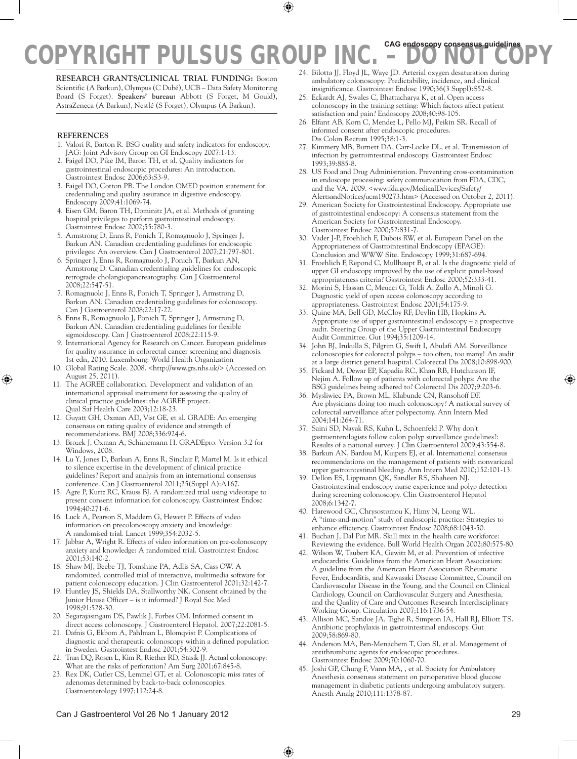**Research grants/clinical trial funding:** Boston Scientific (A Barkun), Olympus (C Dubé), UCB – Data Safety Monitoring Board (S Forget). **Speakers' bureau:** Abbott (S Forget, M Gould), AstraZeneca (A Barkun), Nestlé (S Forget), Olympus (A Barkun).

# **References**

- 1. Valori R, Barton R. BSG quality and safety indicators for endoscopy. JAG: Joint Advisory Group on GI Endoscopy 2007:1-13.
- 2. Faigel DO, Pike IM, Baron TH, et al. Quality indicators for gastrointestinal endoscopic procedures: An introduction. Gastrointest Endosc 2006;63:S3-9.
- 3. Faigel DO, Cotton PB. The London OMED position statement for credentialing and quality assurance in digestive endoscopy. Endoscopy 2009;41:1069-74.
- 4. Eisen GM, Baron TH, Dominitz JA, et al. Methods of granting hospital privileges to perform gastrointestinal endoscopy. Gastrointest Endosc 2002;55:780-3.
- 5. Armstrong D, Enns R, Ponich T, Romagnuolo J, Springer J, Barkun AN. Canadian credentialing guidelines for endoscopic privileges: An overview. Can J Gastroenterol 2007;21:797-801.
- 6. Springer J, Enns R, Romagnuolo J, Ponich T, Barkun AN, Armstrong D. Canadian credentialing guidelines for endoscopic retrograde cholangiopancreatography. Can J Gastroenterol 2008;22:547-51.
- 7. Romagnuolo J, Enns R, Ponich T, Springer J, Armstrong D, Barkun AN. Canadian credentialing guidelines for colonoscopy. Can J Gastroenterol 2008;22:17-22.
- 8. Enns R, Romagnuolo J, Ponich T, Springer J, Armstrong D, Barkun AN. Canadian credentialing guidelines for flexible sigmoidoscopy. Can J Gastroenterol 2008;22:115-9.
- 9. International Agency for Research on Cancer. European guidelines for quality assurance in colorectal cancer screening and diagnosis. 1st edn, 2010. Luxembourg: World Health Organization
- 10. Global Rating Scale. 2008. <http://www.grs.nhs.uk/> (Accessed on August 25, 2011).
- 11. The AGREE collaboration. Development and validation of an international appraisal instrument for assessing the quality of clinical practice guidelines: the AGREE project. Qual Saf Health Care 2003;12:18-23.
- 12. Guyatt GH, Oxman AD, Vist GE, et al. GRADE: An emerging consensus on rating quality of evidence and strength of recommendations. BMJ 2008;336:924-6.
- 13. Brozek J, Oxman A, Schünemann H. GRADEpro. Version 3.2 for Windows, 2008.
- 14. Lu Y, Jones D, Barkun A, Enns R, Sinclair P, Martel M. Is it ethical to silence expertise in the development of clinical practice guidelines? Report and analysis from an international consensus conference. Can J Gastroenterol 2011;25(Suppl A):A167.
- 15. Agre P, Kurtz RC, Krauss BJ. A randomized trial using videotape to present consent information for colonoscopy. Gastrointest Endosc 1994;40:271-6.
- 16. Luck A, Pearson S, Maddern G, Hewett P. Effects of video information on precolonoscopy anxiety and knowledge: A randomised trial. Lancet 1999;354:2032-5.
- 17. Jabbar A, Wright R. Effects of video information on pre-colonoscopy anxiety and knowledge: A randomized trial. Gastrointest Endosc 2001;53:140-2.
- 18. Shaw MJ, Beebe TJ, Tomshine PA, Adlis SA, Cass OW. A randomized, controlled trial of interactive, multimedia software for patient colonoscopy education. J Clin Gastroenterol 2001;32:142-7.
- 19. Huntley JS, Shields DA, Stallworthy NK. Consent obtained by the Junior House Officer – is it informed? J Royal Soc Med 1998;91:528-30.
- 20. Segarajasingam DS, Pawlik J, Forbes GM. Informed consent in direct access colonoscopy. J Gastroenterol Hepatol. 2007;22:2081-5.
- 21. Dafnis G, Ekbom A, Pahlman L, Blomqvist P. Complications of diagnostic and therapeutic colonoscopy within a defined population in Sweden. Gastrointest Endosc 2001;54:302-9.
- 22. Tran DQ, Rosen L, Kim R, Riether RD, Stasik JJ. Actual colonoscopy: What are the risks of perforation? Am Surg 2001;67:845-8.
- 23. Rex DK, Cutler CS, Lemmel GT, et al. Colonoscopic miss rates of adenomas determined by back-to-back colonoscopies. Gastroenterology 1997;112:24-8.
- **COPYRIGHT PULSUS GROUP INC. DO NOT COPY** 24. Bilotta JJ, Floyd JL, Waye JD. Arterial oxygen desaturation during ambulatory colonoscopy: Predictability, incidence, and clinical
	- insignificance. Gastrointest Endosc 1990;36(3 Suppl):S52-8. 25. Eckardt AJ, Swales C, Bhattacharya K, et al. Open access colonoscopy in the training setting: Which factors affect patient satisfaction and pain? Endoscopy 2008;40:98-105.
	- 26. Elfant AB, Korn C, Mendez L, Pello MJ, Peikin SR. Recall of informed consent after endoscopic procedures. Dis Colon Rectum 1995;38:1-3.
	- 27. Kimmery MB, Burnett DA, Carr-Locke DL, et al. Transmission of infection by gastrointestinal endoscopy. Gastrointest Endosc 1993;39:885-8.
	- 28. US Food and Drug Administration. Preventing cross-contamination in endoscope processing: safety communication from FDA, CDC, and the VA. 2009. <www.fda.gov/MedicalDevices/Safety/ AlertsandNotices/ucm190273.htm> (Accessed on October 2, 2011).
	- 29. American Society for Gastrointestinal Endoscopy. Appropriate use of gastrointestinal endoscopy: A consensus statement from the American Society for Gastrointestinal Endoscopy. Gastrointest Endosc 2000;52:831-7.
	- 30. Vader J-P, Froehlich F, Dubois RW, et al. European Panel on the Appropriateness of Gastrointestinal Endoscopy (EPAGE): Conclusion and WWW Site. Endoscopy 1999;31:687-694.
	- 31. Froehlich F, Repond C, Mullhaupt B, et al. Is the diagnostic yield of upper GI endoscopy improved by the use of explicit panel-based appropriateness criteria? Gastrointest Endosc 2000;52:333-41.
	- 32. Morini S, Hassan C, Meucci G, Toldi A, Zullo A, Minoli G. Diagnostic yield of open access colonoscopy according to appropriateness. Gastrointest Endosc 2001;54:175-9.
	- 33. Quine MA, Bell GD, McCloy RF, Devlin HB, Hopkins A. Appropriate use of upper gastrointestinal endoscopy – a prospective audit. Steering Group of the Upper Gastrointestinal Endoscopy Audit Committee. Gut 1994;35:1209-14.
	- 34. John BJ, Irukulla S, Pilgrim G, Swift I, Abulafi AM. Surveillance colonoscopies for colorectal polyps – too often, too many! An audit at a large district general hospital. Colorectal Dis 2008;10:898-900.
	- 35. Pickard M, Dewar EP, Kapadia RC, Khan RB, Hutchinson IF, Nejim A. Follow up of patients with colorectal polyps: Are the BSG guidelines being adhered to? Colorectal Dis 2007;9:203-6.
	- 36. Mysliwiec PA, Brown ML, Klabunde CN, Ransohoff DF. Are physicians doing too much colonoscopy? A national survey of colorectal surveillance after polypectomy. Ann Intern Med 2004;141:264-71.
	- 37. Saini SD, Nayak RS, Kuhn L, Schoenfeld P. Why don't gastroenterologists follow colon polyp surveillance guidelines?: Results of a national survey. J Clin Gastroenterol 2009;43:554-8.
	- 38. Barkun AN, Bardou M, Kuipers EJ, et al. International consensus recommendations on the management of patients with nonvariceal upper gastrointestinal bleeding. Ann Intern Med 2010;152:101-13.
	- 39. Dellon ES, Lippmann QK, Sandler RS, Shaheen NJ. Gastrointestinal endoscopy nurse experience and polyp detection during screening colonoscopy. Clin Gastroenterol Hepatol 2008;6:1342-7.
	- 40. Harewood GC, Chrysostomou K, Himy N, Leong WL. A "time-and-motion" study of endoscopic practice: Strategies to enhance efficiency. Gastrointest Endosc 2008;68:1043-50.
	- 41. Buchan J, Dal Poz MR. Skill mix in the health care workforce: Reviewing the evidence. Bull World Health Organ 2002;80:575-80.
	- 42. Wilson W, Taubert KA, Gewitz M, et al. Prevention of infective endocarditis: Guidelines from the American Heart Association: A guideline from the American Heart Association Rheumatic Fever, Endocarditis, and Kawasaki Disease Committee, Council on Cardiovascular Disease in the Young, and the Council on Clinical Cardiology, Council on Cardiovascular Surgery and Anesthesia, and the Quality of Care and Outcomes Research Interdisciplinary Working Group. Circulation 2007;116:1736-54.
	- 43. Allison MC, Sandoe JA, Tighe R, Simpson IA, Hall RJ, Elliott TS. Antibiotic prophylaxis in gastrointestinal endoscopy. Gut 2009;58:869-80.
	- 44. Anderson MA, Ben-Menachem T, Gan SI, et al. Management of antithrombotic agents for endoscopic procedures. Gastrointest Endosc 2009;70:1060-70.
	- 45. Joshi GP, Chung F, Vann MA, , et al. Society for Ambulatory Anesthesia consensus statement on perioperative blood glucose management in diabetic patients undergoing ambulatory surgery. Anesth Analg 2010;111:1378-87.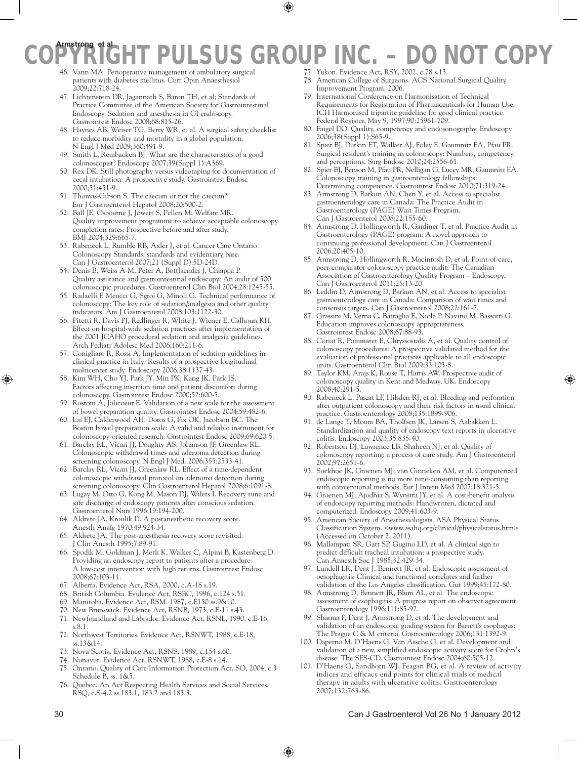# **Armstrong et al**

- **COPYRIGHT PULSUS GROUP INC.** DO NOT COPYRIGHT PULSUS GROUP INC. DO NOT COPYRIGHT PUBLIC COPYRIGHT PUBLIC COPYRIGHT PUBLIC COPYRIGHT PUBLIC COPYRIGHT PUBLIC COPYRIGHT PUBLIC COPYRIGHT PUBLIC COPYRIGHT PUBLIC COPYRIGHT 46. Vann MA. Perioperative management of ambulatory surgical patients with diabetes mellitus. Curr Opin Anaesthesiol 2009;22:718-24.
	- 47. Lichtenstein DR, Jagannath S, Baron TH, et al; Standards of Practice Committee of the American Society for Gastrointestinal Endoscopy. Sedation and anesthesia in GI endoscopy. Gastrointest Endosc 2008;68:815-26.
	- 48. Haynes AB, Weiser TG, Berry WR, et al. A surgical safety checklist to reduce morbidity and mortality in a global population. N Engl J Med 2009;360:491-9.
	- 49. Smith L, Rembacken BJ. What are the characteristics of a good colonoscopist? Endoscopy 2007;39(Suppl 1):A369.
	- 50. Rex DK. Still photography versus videotaping for documentation of cecal intubation: A prospective study. Gastrointest Endosc 2000;51:451-9.
	- 51. Thomas-Gibson S. The caecum or not the caecum? Eur J Gastroenterol Hepatol 2008;20:500-2.
	- 52. Ball JE, Osbourne J, Jowett S, Pellen M, Welfare MR. Quality improvement programme to achieve acceptable colonoscopy completion rates: Prospective before and after study. BMJ 2004;329:665-7.
	- 53. Rabeneck L, Rumble RB, Axler J, et al. Cancer Care Ontario Colonoscopy Standards: standards and evidentiary base. Can J Gastroenterol 2007;21 (Suppl D):5D-24D.
	- 54. Denis B, Weiss A-M, Peter A, Bottlaender J, Chiappa P. Quality assurance and gastrointestinal endoscopy: An audit of 500 colonoscopic procedures. Gastroenterol Clin Biol 2004;28:1245-55.
	- 55. Radaelli F, Meucci G, Sgroi G, Minoli G. Technical performance of colonoscopy: The key role of sedation/analgesia and other quality indicators. Am J Gastroenterol 2008;103:1122-30.
	- 56. Pitetti R, Davis PJ, Redlinger R, White J, Wiener E, Calhoun KH. Effect on hospital-wide sedation practices after implementation of the 2001 JCAHO procedural sedation and analgesia guidelines. Arch Pediatr Adolesc Med 2006;160:211-6.
	- 57. Conigliaro R, Rossi A. Implementation of sedation guidelines in clinical practice in Italy: Results of a prospective longitudinal multicenter study. Endoscopy 2006;38:1137-43.
	- 58. Kim WH, Cho YJ, Park JY, Min PK, Kang JK, Park IS. Factors affecting insertion time and patient discomfort during colonoscopy. Gastrointest Endosc 2000;52:600-5.
	- 59. Rostom A, Jolicoeur E. Validation of a new scale for the assessment of bowel preparation quality. Gastrointest Endosc 2004;59:482-6.
	- 60. Lai EJ, Calderwood AH, Doros G, Fix OK, Jacobson BC. The Boston bowel preparation scale: A valid and reliable instrument for colonoscopy-oriented research. Gastrointest Endosc 2009;69:620-5.
	- 61. Barclay RL, Vicari JJ, Doughty AS, Johanson JF, Greenlaw RL. Colonoscopic withdrawal times and adenoma detection during screening colonoscopy. N Engl J Med. 2006;355:2533-41.
	- 62. Barclay RL, Vicari JJ, Greenlaw RL. Effect of a time-dependent colonoscopic withdrawal protocol on adenoma detection during screening colonoscopy. Clin Gastroenterol Hepatol 2008;6:1091-8.
	- 63. Lugay M, Otto G, Kong M, Mason DJ, Wilets I. Recovery time and safe discharge of endoscopy patients after conscious sedation. Gastroenterol Nurs 1996;19:194-200.
	- 64. Aldrete JA, Kroulik D. A postanesthetic recovery score. Anesth Analg 1970;49:924-34.
	- 65. Aldrete JA. The post-anesthesia recovery score revisited. J Clin Anesth 1995;7:89-91.
	- 66. Spodik M, Goldman J, Merli K, Walker C, Alpini B, Kastenberg D. Providing an endoscopy report to patients after a procedure: A low-cost intervention with high returns. Gastrointest Endosc 2008;67:103-11.
	- 67. Alberta. Evidence Act, RSA, 2000, c.A-18 s.19.
	- 68. British Columbia. Evidence Act, RSBC, 1996, c.124 s.51.
	- 69. Manitoba. Evidence Act, RSM. 1987, c.E150 ss.9&10.
	- 70. New Brunswick. Evidence Act, RSNB, 1973, c.E-11 s.43.
	- 71. Newfoundland and Labrador. Evidence Act, RSNL, 1990, c.E-16, s.8.1.
	- 72. Northwest Territories. Evidence Act, RSNWT, 1988, c.E-18, ss.13&14.
	- 73. Nova Scotia. Evidence Act, RSNS, 1989, c.154 s.60.
	- 74. Nunavut. Evidence Act, RSNWT, 1988, c.E-8 s.14.
	- 75. Ontario. Quality of Care Information Protection Act, SO, 2004, c.3 Schedule B, ss. 1&5.
	- 76. Quebec. An Act Respecting Health Services and Social Services, RSQ, c.S-4.2 ss.183.1, 183.2 and 183.3.
- 77. Yukon. Evidence Act, RSY, 2002, c.78 s.13.
- 78. American College of Surgeons. ACS National Surgical Quality Improvement Program. 2006.
- International Conference on Harmonisation of Technical Requirements for Registration of Pharmaceuticals for Human Use. ICH Harmonised tripartite guideline for good clinical practice. Federal Register, May 9, 1997;90:25961-709.
- 80. Faigel DO. Quality, competency and endosonography. Endoscopy 2006;38(Suppl 1):S65-9.
- 81. Spier BJ, Durkin ET, Walker AJ, Foley E, Gaumnitz EA, Pfau PR. Surgical resident's training in colonoscopy: Numbers, competency, and perceptions. Surg Endosc 2010;24:2556-61.
- 82. Spier BJ, Benson M, Pfau PR, Nelligan G, Lucey MR, Gaumnitz EA. Colonoscopy training in gastroenterology fellowships: Determining competence. Gastrointest Endosc 2010;71:319-24.
- 83. Armstrong D, Barkun AN, Chen Y, et al. Access to specialist gastroenterology care in Canada: The Practice Audit in Gastroenterology (PAGE) Wait Times Program. Can J Gastroenterol 2008;22:155-60.
- 84. Armstrong D, Hollingworth R, Gardiner T, et al. Practice Audit in Gastroenterology (PAGE) program: A novel approach to continuing professional development. Can J Gastroenterol 2006;20:405-10.
- 85. Armstrong D, Hollingworth R, Macintosh D, et al. Point-of-care, peer-comparator colonoscopy practice audit: The Canadian Association of Gastroenterology Quality Program – Endoscopy. Can J Gastroenterol 2011;25:13-20.
- 86. Leddin D, Armstrong D, Barkun AN, et al. Access to specialist gastroenterology care in Canada: Comparison of wait times and consensus targets. Can J Gastroenterol 2008;22:161-7.
- 87. Grassini M, Verna C, Battaglia E, Niola P, Navino M, Bassotti G. Education improves colonoscopy appropriateness. Gastrointest Endosc 2008;67:88-93.
- 88. Coriat R, Pommaret E, Chryssostalis A, et al. Quality control of colonoscopy procedures: A prospective validated method for the evaluation of professional practices applicable to all endoscopic units. Gastroenterol Clin Biol 2009;33:103-8.
- 89. Taylor KM, Arajs K, Rouse T, Harris AW. Prospective audit of colonoscopy quality in Kent and Medway, UK. Endoscopy 2008;40:291-5.
- 90. Rabeneck L, Paszat LF, Hilsden RJ, et al. Bleeding and perforation after outpatient colonoscopy and their risk factors in usual clinical practice. Gastroenterology 2008;135:1899-906.
- 91. de Lange T, Moum BA, Tholfsen JK, Larsen S, Aabakken L. Standardization and quality of endoscopy text reports in ulcerative colitis. Endoscopy 2003;35:835-40.
- 92. Robertson DJ, Lawrence LB, Shaheen NJ, et al. Quality of colonoscopy reporting: a process of care study. Am J Gastroenterol 2002;97:2651-6.
- 93. Soekhoe JK, Groenen MJ, van Ginneken AM, et al. Computerized endoscopic reporting is no more time-consuming than reporting with conventional methods. Eur J Intern Med 2007;18:321-5.
- 94. Groenen MJ, Ajodhia S, Wynstra JY, et al. A cost-benefit analysis of endoscopy reporting methods: Handwritten, dictated and computerized. Endoscopy 2009;41:603-9.
- 95. American Society of Anesthesiologists. ASA Physical Status Classification System. <www.asahq.org/clinical/physicalstatus.htm> (Accessed on October 2, 2011).
- 96. Mallampati SR, Gatt SP, Gugino LD, et al. A clinical sign to predict difficult tracheal intubation: a prospective study. Can Anaesth Soc J 1985;32:429-34.
- 97. Lundell LR, Dent J, Bennett JR, et al. Endoscopic assessment of oesophagitis: Clinical and functional correlates and further validation of the Los Angeles classification. Gut 1999;45:172-80.
- 98. Armstrong D, Bennett JR, Blum AL, et al. The endoscopic assessment of esophagitis: A progress report on observer agreement. Gastroenterology 1996;111:85-92.
- 99. Sharma P, Dent J, Armstrong D, et al. The development and validation of an endoscopic grading system for Barrett's esophagus: The Prague C & M criteria. Gastroenterology 2006;131:1392-9.
- 100. Daperno M, D'Haens G, Van Assche G, et al. Development and validation of a new, simplified endoscopic activity score for Crohn's disease: The SES-CD. Gastrointest Endosc 2004;60:505-12.
- 101. D'Haens G, Sandborn WJ, Feagan BG, et al. A review of activity indices and efficacy end points for clinical trials of medical therapy in adults with ulcerative colitis. Gastroenterology 2007;132:763-86.